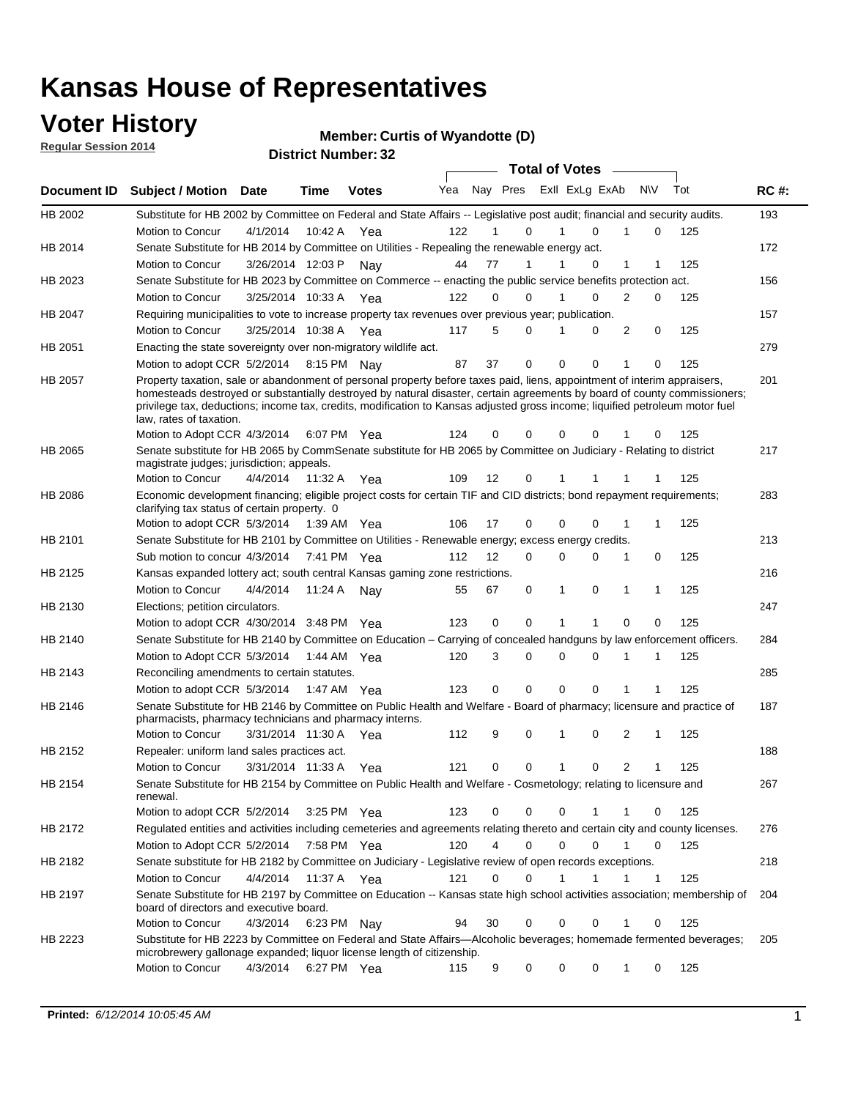## **Voter History**

**Regular Session 2014**

#### **Member: Curtis of Wyandotte (D)**

|             |                                                                                                                                                                                                                                                                                                                                                                                                                  |                       |             | <b>DISTRICT MAILINGL'S</b> |     |    |                         | <b>Total of Votes</b> |             |             |                |              |     |             |
|-------------|------------------------------------------------------------------------------------------------------------------------------------------------------------------------------------------------------------------------------------------------------------------------------------------------------------------------------------------------------------------------------------------------------------------|-----------------------|-------------|----------------------------|-----|----|-------------------------|-----------------------|-------------|-------------|----------------|--------------|-----|-------------|
| Document ID | <b>Subject / Motion</b>                                                                                                                                                                                                                                                                                                                                                                                          | Date                  | Time        | <b>Votes</b>               | Yea |    | Nay Pres Exll ExLg ExAb |                       |             |             |                | <b>NV</b>    | Tot | <b>RC#:</b> |
| HB 2002     | Substitute for HB 2002 by Committee on Federal and State Affairs -- Legislative post audit; financial and security audits.                                                                                                                                                                                                                                                                                       |                       |             |                            |     |    |                         |                       |             |             |                |              |     | 193         |
|             | Motion to Concur                                                                                                                                                                                                                                                                                                                                                                                                 | 4/1/2014              | 10:42 A     | Yea                        | 122 |    | 0                       |                       |             | $\Omega$    |                | 0            | 125 |             |
| HB 2014     | Senate Substitute for HB 2014 by Committee on Utilities - Repealing the renewable energy act.                                                                                                                                                                                                                                                                                                                    |                       |             |                            |     |    |                         |                       |             |             |                |              |     | 172         |
|             | Motion to Concur                                                                                                                                                                                                                                                                                                                                                                                                 | 3/26/2014 12:03 P Nay |             |                            | 44  | 77 | 1                       |                       |             | 0           | 1              | 1            | 125 |             |
| HB 2023     | Senate Substitute for HB 2023 by Committee on Commerce -- enacting the public service benefits protection act.                                                                                                                                                                                                                                                                                                   |                       |             |                            |     |    |                         |                       |             |             |                |              |     | 156         |
|             | Motion to Concur                                                                                                                                                                                                                                                                                                                                                                                                 | 3/25/2014 10:33 A Yea |             |                            | 122 |    | 0<br>0                  |                       | 1           | 0           | 2              | 0            | 125 |             |
| HB 2047     | Requiring municipalities to vote to increase property tax revenues over previous year; publication.                                                                                                                                                                                                                                                                                                              |                       |             |                            |     |    |                         |                       |             |             |                |              |     | 157         |
|             | Motion to Concur                                                                                                                                                                                                                                                                                                                                                                                                 | 3/25/2014 10:38 A Yea |             |                            | 117 |    | 5<br>0                  |                       |             | 0           | 2              | 0            | 125 |             |
| HB 2051     | Enacting the state sovereignty over non-migratory wildlife act.                                                                                                                                                                                                                                                                                                                                                  |                       |             |                            |     |    |                         |                       |             |             |                |              |     | 279         |
|             | Motion to adopt CCR 5/2/2014 8:15 PM Nay                                                                                                                                                                                                                                                                                                                                                                         |                       |             |                            | 87  | 37 | $\mathbf 0$             |                       | $\mathbf 0$ | 0           | 1              | 0            | 125 |             |
| HB 2057     | Property taxation, sale or abandonment of personal property before taxes paid, liens, appointment of interim appraisers,<br>homesteads destroyed or substantially destroyed by natural disaster, certain agreements by board of county commissioners;<br>privilege tax, deductions; income tax, credits, modification to Kansas adjusted gross income; liquified petroleum motor fuel<br>law, rates of taxation. |                       |             |                            |     |    |                         |                       |             |             |                |              |     | 201         |
|             | Motion to Adopt CCR 4/3/2014                                                                                                                                                                                                                                                                                                                                                                                     |                       |             | 6:07 PM Yea                | 124 | 0  | 0                       |                       | $\mathbf 0$ | 0           |                | 0            | 125 |             |
| HB 2065     | Senate substitute for HB 2065 by CommSenate substitute for HB 2065 by Committee on Judiciary - Relating to district<br>magistrate judges; jurisdiction; appeals.                                                                                                                                                                                                                                                 |                       |             |                            |     |    |                         |                       |             |             |                |              |     | 217         |
|             | Motion to Concur                                                                                                                                                                                                                                                                                                                                                                                                 | 4/4/2014              | 11:32 A     | Yea                        | 109 | 12 | 0                       |                       | 1           |             |                |              | 125 |             |
| HB 2086     | Economic development financing; eligible project costs for certain TIF and CID districts; bond repayment requirements;<br>clarifying tax status of certain property. 0                                                                                                                                                                                                                                           |                       |             |                            |     |    |                         |                       |             |             |                |              |     | 283         |
|             | Motion to adopt CCR 5/3/2014                                                                                                                                                                                                                                                                                                                                                                                     |                       | 1:39 AM Yea |                            | 106 | 17 | 0                       |                       | $\mathbf 0$ | $\Omega$    | 1              | 1            | 125 |             |
| HB 2101     | Senate Substitute for HB 2101 by Committee on Utilities - Renewable energy; excess energy credits.                                                                                                                                                                                                                                                                                                               |                       |             |                            |     |    |                         |                       |             |             |                |              |     | 213         |
|             | Sub motion to concur 4/3/2014                                                                                                                                                                                                                                                                                                                                                                                    |                       |             | 7:41 PM Yea                | 112 | 12 | 0                       |                       | $\mathbf 0$ | $\mathbf 0$ | 1              | 0            | 125 |             |
| HB 2125     | Kansas expanded lottery act; south central Kansas gaming zone restrictions.                                                                                                                                                                                                                                                                                                                                      |                       |             |                            |     |    |                         |                       |             |             |                |              |     | 216         |
|             | Motion to Concur                                                                                                                                                                                                                                                                                                                                                                                                 | 4/4/2014              | 11:24 A     | Nav                        | 55  | 67 | 0                       |                       | 1           | 0           | 1              | 1            | 125 |             |
| HB 2130     | Elections; petition circulators.                                                                                                                                                                                                                                                                                                                                                                                 |                       |             |                            |     |    |                         |                       |             |             |                |              |     | 247         |
|             | Motion to adopt CCR 4/30/2014 3:48 PM Yea                                                                                                                                                                                                                                                                                                                                                                        |                       |             |                            | 123 | 0  | 0                       |                       |             |             | $\Omega$       | 0            | 125 |             |
| HB 2140     | Senate Substitute for HB 2140 by Committee on Education – Carrying of concealed handguns by law enforcement officers.                                                                                                                                                                                                                                                                                            |                       |             |                            |     |    |                         |                       |             |             |                |              |     | 284         |
|             | Motion to Adopt CCR 5/3/2014                                                                                                                                                                                                                                                                                                                                                                                     |                       |             | 1:44 AM Yea                | 120 |    | 3<br>0                  |                       | $\mathbf 0$ | $\mathbf 0$ | 1              | 1            | 125 |             |
| HB 2143     | Reconciling amendments to certain statutes.                                                                                                                                                                                                                                                                                                                                                                      |                       |             |                            |     |    |                         |                       |             |             |                |              |     | 285         |
|             | Motion to adopt CCR 5/3/2014                                                                                                                                                                                                                                                                                                                                                                                     |                       |             | 1:47 AM Yea                | 123 |    | 0<br>0                  |                       | $\mathbf 0$ | $\mathbf 0$ | 1              | 1            | 125 |             |
| HB 2146     | Senate Substitute for HB 2146 by Committee on Public Health and Welfare - Board of pharmacy; licensure and practice of<br>pharmacists, pharmacy technicians and pharmacy interns.                                                                                                                                                                                                                                |                       |             |                            |     |    |                         |                       |             |             |                |              |     | 187         |
|             | <b>Motion to Concur</b>                                                                                                                                                                                                                                                                                                                                                                                          | 3/31/2014 11:30 A     |             | Yea                        | 112 |    | 9<br>0                  |                       | 1           | 0           | 2              | 1            | 125 |             |
| HB 2152     | Repealer: uniform land sales practices act.                                                                                                                                                                                                                                                                                                                                                                      |                       |             |                            |     |    |                         |                       |             |             |                |              |     | 188         |
|             | Motion to Concur                                                                                                                                                                                                                                                                                                                                                                                                 | 3/31/2014 11:33 A     |             | Yea                        | 121 | 0  | 0                       |                       | 1           | 0           | $\overline{2}$ | 1            | 125 |             |
| HB 2154     | Senate Substitute for HB 2154 by Committee on Public Health and Welfare - Cosmetology; relating to licensure and<br>renewal.                                                                                                                                                                                                                                                                                     |                       |             |                            |     |    |                         |                       |             |             |                |              |     | 267         |
|             | Motion to adopt CCR 5/2/2014 3:25 PM Yea                                                                                                                                                                                                                                                                                                                                                                         |                       |             |                            | 123 |    | 0<br>0                  |                       | $\mathbf 0$ | 1           | 1              | 0            | 125 |             |
| HB 2172     | Regulated entities and activities including cemeteries and agreements relating thereto and certain city and county licenses.                                                                                                                                                                                                                                                                                     |                       |             |                            |     |    |                         |                       |             |             |                |              |     | 276         |
|             | Motion to Adopt CCR 5/2/2014                                                                                                                                                                                                                                                                                                                                                                                     |                       |             | 7:58 PM Yea                | 120 |    | 4<br>$\mathbf 0$        |                       | $\mathbf 0$ | $\Omega$    | $\mathbf{1}$   | $\mathbf 0$  | 125 |             |
| HB 2182     | Senate substitute for HB 2182 by Committee on Judiciary - Legislative review of open records exceptions.                                                                                                                                                                                                                                                                                                         |                       |             |                            |     |    |                         |                       |             |             |                |              |     | 218         |
|             | Motion to Concur                                                                                                                                                                                                                                                                                                                                                                                                 | 4/4/2014              | 11:37 A Yea |                            | 121 | 0  | $\mathbf 0$             |                       | 1           | 1           | 1              | $\mathbf{1}$ | 125 |             |
| HB 2197     | Senate Substitute for HB 2197 by Committee on Education -- Kansas state high school activities association; membership of<br>board of directors and executive board.                                                                                                                                                                                                                                             |                       |             |                            |     |    |                         |                       |             |             |                |              |     | 204         |
|             | Motion to Concur                                                                                                                                                                                                                                                                                                                                                                                                 | 4/3/2014              |             | 6:23 PM Nay                | 94  | 30 | 0                       |                       | 0           | 0           | 1              | 0            | 125 |             |
| HB 2223     | Substitute for HB 2223 by Committee on Federal and State Affairs-Alcoholic beverages; homemade fermented beverages;<br>microbrewery gallonage expanded; liquor license length of citizenship.                                                                                                                                                                                                                    |                       |             |                            |     |    |                         |                       |             |             |                |              |     | 205         |
|             | Motion to Concur                                                                                                                                                                                                                                                                                                                                                                                                 | 4/3/2014              |             | 6:27 PM Yea                | 115 | 9  | 0                       |                       | 0           | 0           | 1              | 0            | 125 |             |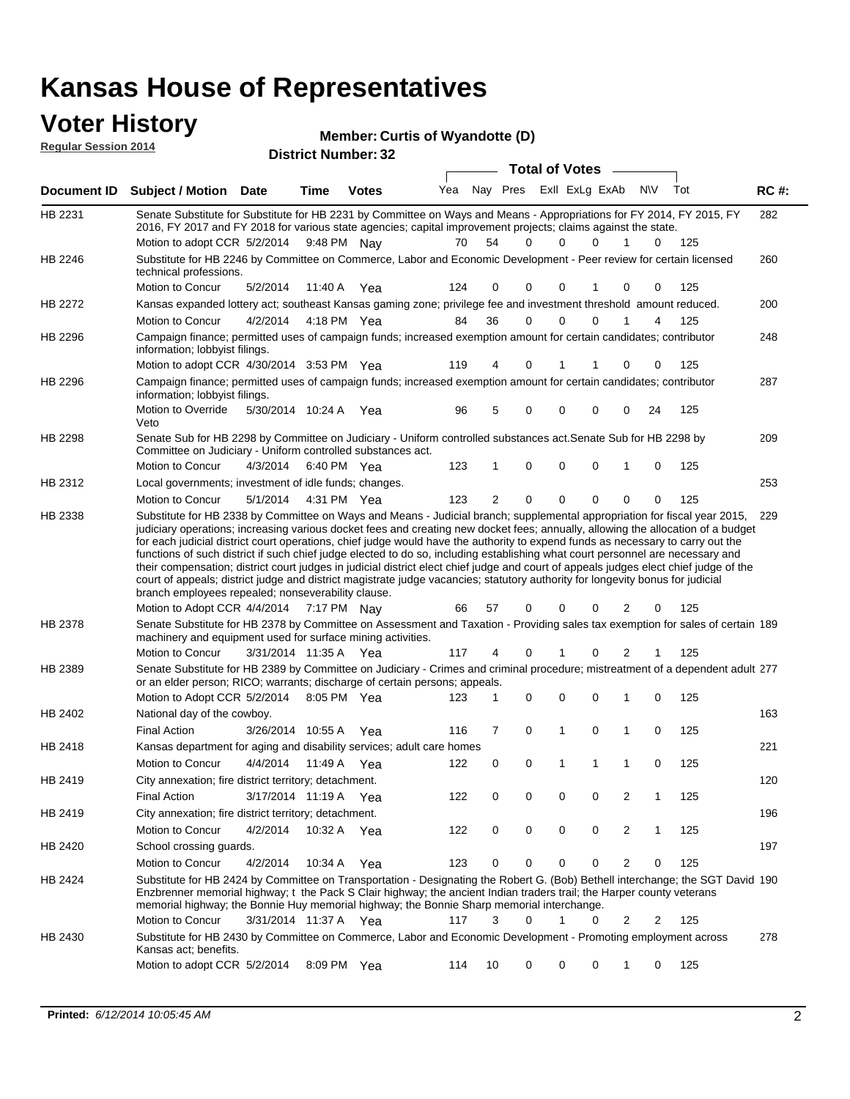### **Voter History Regular Session 2014**

| <b>Member: Curtis of Wyandotte (D)</b> |  |  |
|----------------------------------------|--|--|
|----------------------------------------|--|--|

| ilicinuci. Vultia 1        |  |
|----------------------------|--|
| <b>District Number: 32</b> |  |

|             |                                                                                                                                                                                                                                                                                                                                                                                                                                                                                                                                                                                                                                                                                                                                                                                    |                       |         |              |     |          |   | <b>Total of Votes</b> |   |                |              |     |             |
|-------------|------------------------------------------------------------------------------------------------------------------------------------------------------------------------------------------------------------------------------------------------------------------------------------------------------------------------------------------------------------------------------------------------------------------------------------------------------------------------------------------------------------------------------------------------------------------------------------------------------------------------------------------------------------------------------------------------------------------------------------------------------------------------------------|-----------------------|---------|--------------|-----|----------|---|-----------------------|---|----------------|--------------|-----|-------------|
| Document ID | <b>Subject / Motion Date</b>                                                                                                                                                                                                                                                                                                                                                                                                                                                                                                                                                                                                                                                                                                                                                       |                       | Time    | <b>Votes</b> | Yea | Nay Pres |   | Exll ExLg ExAb        |   |                | <b>NIV</b>   | Tot | <b>RC#:</b> |
| HB 2231     | Senate Substitute for Substitute for HB 2231 by Committee on Ways and Means - Appropriations for FY 2014, FY 2015, FY<br>2016, FY 2017 and FY 2018 for various state agencies; capital improvement projects; claims against the state.<br>Motion to adopt CCR 5/2/2014                                                                                                                                                                                                                                                                                                                                                                                                                                                                                                             |                       |         | 9:48 PM Nay  | 70  | 54       | 0 | $\Omega$              | 0 | 1              | 0            | 125 | 282         |
| HB 2246     | Substitute for HB 2246 by Committee on Commerce, Labor and Economic Development - Peer review for certain licensed<br>technical professions.                                                                                                                                                                                                                                                                                                                                                                                                                                                                                                                                                                                                                                       |                       |         |              |     |          |   |                       |   |                |              |     | 260         |
|             | Motion to Concur                                                                                                                                                                                                                                                                                                                                                                                                                                                                                                                                                                                                                                                                                                                                                                   | 5/2/2014              | 11:40 A | Yea          | 124 | 0        | 0 | 0                     |   | 0              | 0            | 125 |             |
| HB 2272     | Kansas expanded lottery act; southeast Kansas gaming zone; privilege fee and investment threshold amount reduced.                                                                                                                                                                                                                                                                                                                                                                                                                                                                                                                                                                                                                                                                  |                       |         |              |     |          |   |                       |   |                |              |     | 200         |
|             | Motion to Concur                                                                                                                                                                                                                                                                                                                                                                                                                                                                                                                                                                                                                                                                                                                                                                   | 4/2/2014              |         | 4:18 PM Yea  | 84  | 36       | 0 | 0                     | 0 |                | 4            | 125 |             |
| HB 2296     | Campaign finance; permitted uses of campaign funds; increased exemption amount for certain candidates; contributor<br>information; lobbyist filings.                                                                                                                                                                                                                                                                                                                                                                                                                                                                                                                                                                                                                               |                       |         |              |     |          |   |                       |   |                |              |     | 248         |
|             | Motion to adopt CCR 4/30/2014 3:53 PM Yea                                                                                                                                                                                                                                                                                                                                                                                                                                                                                                                                                                                                                                                                                                                                          |                       |         |              | 119 | 4        | 0 | 1                     |   | 0              | 0            | 125 |             |
| HB 2296     | Campaign finance; permitted uses of campaign funds; increased exemption amount for certain candidates; contributor<br>information; lobbyist filings.                                                                                                                                                                                                                                                                                                                                                                                                                                                                                                                                                                                                                               |                       |         |              |     |          |   |                       |   |                |              |     | 287         |
|             | Motion to Override<br>Veto                                                                                                                                                                                                                                                                                                                                                                                                                                                                                                                                                                                                                                                                                                                                                         | 5/30/2014 10:24 A Yea |         |              | 96  | 5        | 0 | $\Omega$              | 0 | 0              | 24           | 125 |             |
| HB 2298     | Senate Sub for HB 2298 by Committee on Judiciary - Uniform controlled substances act. Senate Sub for HB 2298 by<br>Committee on Judiciary - Uniform controlled substances act.                                                                                                                                                                                                                                                                                                                                                                                                                                                                                                                                                                                                     |                       |         |              |     |          |   |                       |   |                |              |     | 209         |
|             | Motion to Concur                                                                                                                                                                                                                                                                                                                                                                                                                                                                                                                                                                                                                                                                                                                                                                   | 4/3/2014              |         | 6:40 PM Yea  | 123 | 1        | 0 | $\mathbf 0$           | 0 | 1              | 0            | 125 |             |
| HB 2312     | Local governments; investment of idle funds; changes.                                                                                                                                                                                                                                                                                                                                                                                                                                                                                                                                                                                                                                                                                                                              |                       |         |              |     |          |   |                       |   |                |              |     | 253         |
| HB 2338     | Motion to Concur<br>Substitute for HB 2338 by Committee on Ways and Means - Judicial branch; supplemental appropriation for fiscal year 2015,                                                                                                                                                                                                                                                                                                                                                                                                                                                                                                                                                                                                                                      | 5/1/2014              |         | 4:31 PM Yea  | 123 | 2        | 0 | $\mathbf 0$           | 0 | $\mathbf 0$    | 0            | 125 | 229         |
|             | judiciary operations; increasing various docket fees and creating new docket fees; annually, allowing the allocation of a budget<br>for each judicial district court operations, chief judge would have the authority to expend funds as necessary to carry out the<br>functions of such district if such chief judge elected to do so, including establishing what court personnel are necessary and<br>their compensation; district court judges in judicial district elect chief judge and court of appeals judges elect chief judge of the<br>court of appeals; district judge and district magistrate judge vacancies; statutory authority for longevity bonus for judicial<br>branch employees repealed; nonseverability clause.<br>Motion to Adopt CCR 4/4/2014 7:17 PM Nay |                       |         |              | 66  | 57       | 0 | $\mathbf 0$           | 0 | 2              | 0            | 125 |             |
| HB 2378     | Senate Substitute for HB 2378 by Committee on Assessment and Taxation - Providing sales tax exemption for sales of certain 189<br>machinery and equipment used for surface mining activities.                                                                                                                                                                                                                                                                                                                                                                                                                                                                                                                                                                                      |                       |         |              |     |          |   |                       |   |                |              |     |             |
|             | Motion to Concur                                                                                                                                                                                                                                                                                                                                                                                                                                                                                                                                                                                                                                                                                                                                                                   | 3/31/2014 11:35 A Yea |         |              | 117 | 4        | 0 | 1                     | 0 | 2              |              | 125 |             |
| HB 2389     | Senate Substitute for HB 2389 by Committee on Judiciary - Crimes and criminal procedure; mistreatment of a dependent adult 277<br>or an elder person; RICO; warrants; discharge of certain persons; appeals.                                                                                                                                                                                                                                                                                                                                                                                                                                                                                                                                                                       |                       |         |              |     |          |   |                       |   |                |              |     |             |
|             | Motion to Adopt CCR 5/2/2014                                                                                                                                                                                                                                                                                                                                                                                                                                                                                                                                                                                                                                                                                                                                                       |                       |         | 8:05 PM Yea  | 123 | 1        | 0 | $\mathbf 0$           | 0 | 1              | $\mathbf 0$  | 125 |             |
| HB 2402     | National day of the cowboy.                                                                                                                                                                                                                                                                                                                                                                                                                                                                                                                                                                                                                                                                                                                                                        |                       |         |              |     |          |   |                       |   |                |              |     | 163         |
|             | <b>Final Action</b>                                                                                                                                                                                                                                                                                                                                                                                                                                                                                                                                                                                                                                                                                                                                                                | 3/26/2014 10:55 A     |         | Yea          | 116 | 7        | 0 | 1                     | 0 | 1              | 0            | 125 |             |
| HB 2418     | Kansas department for aging and disability services; adult care homes                                                                                                                                                                                                                                                                                                                                                                                                                                                                                                                                                                                                                                                                                                              |                       |         |              |     |          |   |                       |   |                |              |     | 221         |
|             | Motion to Concur                                                                                                                                                                                                                                                                                                                                                                                                                                                                                                                                                                                                                                                                                                                                                                   | 4/4/2014              | 11:49 A | Yea          | 122 | 0        | 0 | 1                     | 1 | 1              | $\mathbf 0$  | 125 |             |
| HB 2419     | City annexation; fire district territory; detachment.                                                                                                                                                                                                                                                                                                                                                                                                                                                                                                                                                                                                                                                                                                                              |                       |         |              |     |          |   |                       |   |                |              |     | 120         |
|             | <b>Final Action</b>                                                                                                                                                                                                                                                                                                                                                                                                                                                                                                                                                                                                                                                                                                                                                                | 3/17/2014 11:19 A Yea |         |              | 122 | 0        | 0 | 0                     | 0 | 2              | 1            | 125 |             |
| HB 2419     | City annexation; fire district territory; detachment.                                                                                                                                                                                                                                                                                                                                                                                                                                                                                                                                                                                                                                                                                                                              |                       |         |              |     |          |   |                       |   |                |              |     | 196         |
|             | Motion to Concur                                                                                                                                                                                                                                                                                                                                                                                                                                                                                                                                                                                                                                                                                                                                                                   | 4/2/2014              |         | 10:32 A Yea  | 122 | 0        | 0 | $\pmb{0}$             | 0 | $\overline{c}$ | $\mathbf{1}$ | 125 |             |
| HB 2420     | School crossing guards.                                                                                                                                                                                                                                                                                                                                                                                                                                                                                                                                                                                                                                                                                                                                                            |                       |         |              |     |          |   |                       |   |                |              |     | 197         |
|             | Motion to Concur                                                                                                                                                                                                                                                                                                                                                                                                                                                                                                                                                                                                                                                                                                                                                                   | 4/2/2014              |         | 10:34 A Yea  | 123 | 0        | 0 | 0                     | 0 | 2              | 0            | 125 |             |
| HB 2424     | Substitute for HB 2424 by Committee on Transportation - Designating the Robert G. (Bob) Bethell interchange; the SGT David 190<br>Enzbrenner memorial highway; t the Pack S Clair highway; the ancient Indian traders trail; the Harper county veterans<br>memorial highway; the Bonnie Huy memorial highway; the Bonnie Sharp memorial interchange.                                                                                                                                                                                                                                                                                                                                                                                                                               |                       |         |              |     |          |   |                       |   |                |              |     |             |
|             | Motion to Concur                                                                                                                                                                                                                                                                                                                                                                                                                                                                                                                                                                                                                                                                                                                                                                   | 3/31/2014 11:37 A Yea |         |              | 117 | 3        | 0 |                       | 0 | 2              | 2            | 125 |             |
| HB 2430     | Substitute for HB 2430 by Committee on Commerce, Labor and Economic Development - Promoting employment across<br>Kansas act; benefits.                                                                                                                                                                                                                                                                                                                                                                                                                                                                                                                                                                                                                                             |                       |         |              |     |          |   |                       |   |                |              |     | 278         |
|             | Motion to adopt CCR 5/2/2014                                                                                                                                                                                                                                                                                                                                                                                                                                                                                                                                                                                                                                                                                                                                                       |                       |         | 8:09 PM Yea  | 114 | 10       | 0 | 0                     | 0 | 1              | 0            | 125 |             |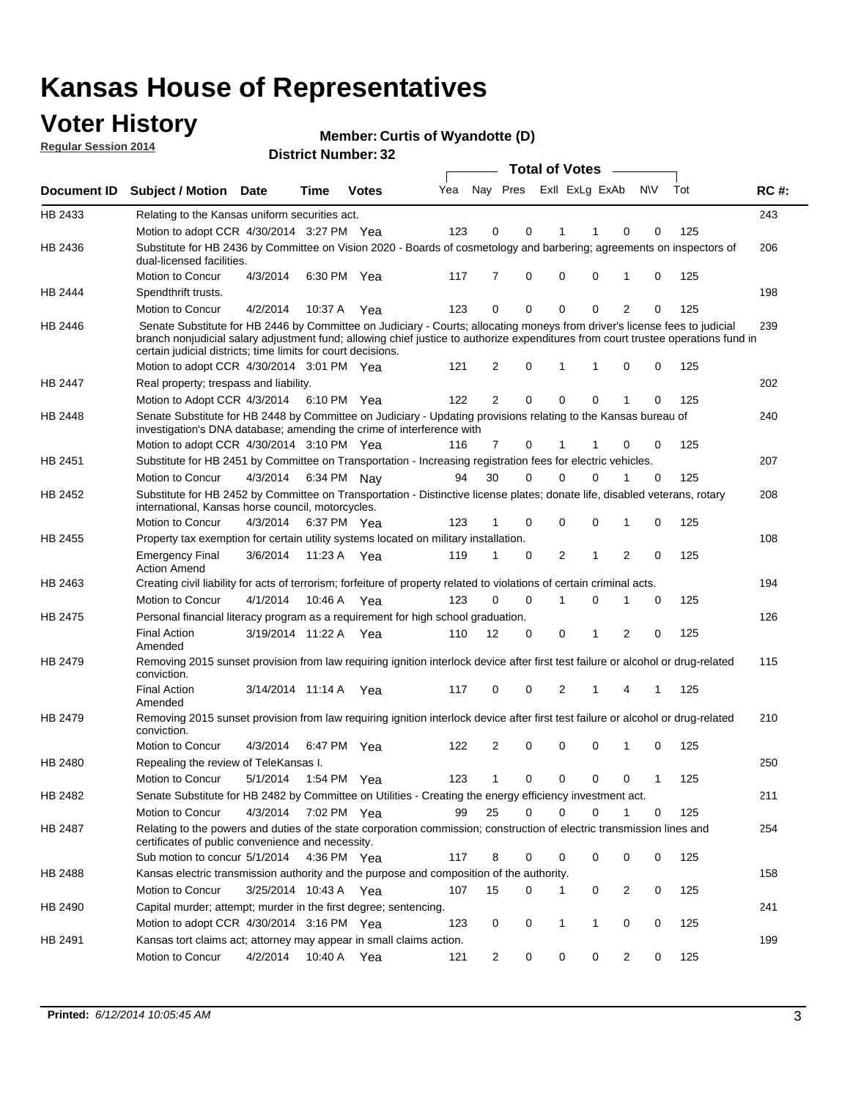## **Voter History**

**Regular Session 2014**

**Member: Curtis of Wyandotte (D)** 

|                    | <b>Total of Votes</b>                                                                                                                                                                                                                                                                                                                                                        |                       |         |              |     |                |          |                |             |                |     |     |             |
|--------------------|------------------------------------------------------------------------------------------------------------------------------------------------------------------------------------------------------------------------------------------------------------------------------------------------------------------------------------------------------------------------------|-----------------------|---------|--------------|-----|----------------|----------|----------------|-------------|----------------|-----|-----|-------------|
| <b>Document ID</b> | Subject / Motion Date                                                                                                                                                                                                                                                                                                                                                        |                       | Time    | <b>Votes</b> | Yea | Nay Pres       |          | Exll ExLg ExAb |             |                | N\V | Tot | <b>RC#:</b> |
| HB 2433            | Relating to the Kansas uniform securities act.                                                                                                                                                                                                                                                                                                                               |                       |         |              |     |                |          |                |             |                |     |     | 243         |
|                    | Motion to adopt CCR 4/30/2014 3:27 PM Yea                                                                                                                                                                                                                                                                                                                                    |                       |         |              | 123 | 0              | 0        | 1              | 1           | 0              | 0   | 125 |             |
| HB 2436            | Substitute for HB 2436 by Committee on Vision 2020 - Boards of cosmetology and barbering; agreements on inspectors of<br>dual-licensed facilities.                                                                                                                                                                                                                           |                       |         |              |     |                |          |                |             |                |     |     | 206         |
|                    | Motion to Concur                                                                                                                                                                                                                                                                                                                                                             | 4/3/2014              |         | 6:30 PM Yea  | 117 | 7              | 0        | $\mathbf 0$    | $\mathbf 0$ | 1              | 0   | 125 |             |
| HB 2444            | Spendthrift trusts.                                                                                                                                                                                                                                                                                                                                                          |                       |         |              |     |                |          |                |             |                |     |     | 198         |
|                    | Motion to Concur                                                                                                                                                                                                                                                                                                                                                             | 4/2/2014              | 10:37 A | Yea          | 123 | 0              | 0        | $\mathbf 0$    | $\mathbf 0$ | $\overline{2}$ | 0   | 125 |             |
| HB 2446            | Senate Substitute for HB 2446 by Committee on Judiciary - Courts; allocating moneys from driver's license fees to judicial<br>branch nonjudicial salary adjustment fund; allowing chief justice to authorize expenditures from court trustee operations fund in<br>certain judicial districts; time limits for court decisions.<br>Motion to adopt CCR 4/30/2014 3:01 PM Yea |                       |         |              | 121 | 2              | 0        | 1              | $\mathbf 1$ | $\mathbf 0$    | 0   | 125 | 239         |
| HB 2447            | Real property; trespass and liability.                                                                                                                                                                                                                                                                                                                                       |                       |         |              |     |                |          |                |             |                |     |     | 202         |
|                    | Motion to Adopt CCR 4/3/2014 6:10 PM Yea                                                                                                                                                                                                                                                                                                                                     |                       |         |              | 122 | 2              | 0        | 0              | $\mathbf 0$ |                | 0   | 125 |             |
| HB 2448            | Senate Substitute for HB 2448 by Committee on Judiciary - Updating provisions relating to the Kansas bureau of                                                                                                                                                                                                                                                               |                       |         |              |     |                |          |                |             |                |     |     | 240         |
|                    | investigation's DNA database; amending the crime of interference with                                                                                                                                                                                                                                                                                                        |                       |         |              |     |                |          |                |             |                |     |     |             |
|                    | Motion to adopt CCR 4/30/2014 3:10 PM Yea                                                                                                                                                                                                                                                                                                                                    |                       |         |              | 116 | $\overline{7}$ | 0        | 1              |             | 0              | 0   | 125 |             |
| HB 2451            | Substitute for HB 2451 by Committee on Transportation - Increasing registration fees for electric vehicles.                                                                                                                                                                                                                                                                  |                       |         |              |     |                |          |                |             |                |     |     | 207         |
|                    | Motion to Concur                                                                                                                                                                                                                                                                                                                                                             | 4/3/2014              |         | 6:34 PM Nay  | 94  | 30             | $\Omega$ | $\mathbf 0$    | $\Omega$    | 1              | 0   | 125 |             |
| HB 2452            | Substitute for HB 2452 by Committee on Transportation - Distinctive license plates; donate life, disabled veterans, rotary<br>international, Kansas horse council, motorcycles.                                                                                                                                                                                              |                       |         |              |     |                |          |                |             |                |     |     | 208         |
|                    | Motion to Concur                                                                                                                                                                                                                                                                                                                                                             | 4/3/2014              |         | 6:37 PM Yea  | 123 |                | 0        | $\mathbf 0$    | $\mathbf 0$ | 1              | 0   | 125 |             |
| HB 2455            | Property tax exemption for certain utility systems located on military installation.                                                                                                                                                                                                                                                                                         |                       |         |              |     |                |          |                |             |                |     |     | 108         |
|                    | <b>Emergency Final</b><br><b>Action Amend</b>                                                                                                                                                                                                                                                                                                                                | 3/6/2014              |         | 11:23 A Yea  | 119 | 1              | 0        | 2              | $\mathbf 1$ | $\overline{2}$ | 0   | 125 |             |
| HB 2463            | Creating civil liability for acts of terrorism; forfeiture of property related to violations of certain criminal acts.                                                                                                                                                                                                                                                       |                       |         |              |     |                |          |                |             |                |     |     | 194         |
|                    | Motion to Concur                                                                                                                                                                                                                                                                                                                                                             | 4/1/2014              | 10:46 A | Yea          | 123 | $\Omega$       | 0        | 1              | $\mathbf 0$ | 1              | 0   | 125 |             |
| <b>HB 2475</b>     | Personal financial literacy program as a requirement for high school graduation.                                                                                                                                                                                                                                                                                             |                       |         |              |     |                |          |                |             |                |     |     | 126         |
|                    | <b>Final Action</b><br>Amended                                                                                                                                                                                                                                                                                                                                               | 3/19/2014 11:22 A     |         | Yea          | 110 | 12             | 0        | 0              | 1           | 2              | 0   | 125 |             |
| HB 2479            | Removing 2015 sunset provision from law requiring ignition interlock device after first test failure or alcohol or drug-related<br>conviction.                                                                                                                                                                                                                               |                       |         |              |     |                |          |                |             |                |     |     | 115         |
|                    | <b>Final Action</b><br>Amended                                                                                                                                                                                                                                                                                                                                               | 3/14/2014 11:14 A Yea |         |              | 117 | 0              | 0        | 2              | 1           | 4              | 1   | 125 |             |
| HB 2479            | Removing 2015 sunset provision from law requiring ignition interlock device after first test failure or alcohol or drug-related<br>conviction.                                                                                                                                                                                                                               |                       |         |              |     |                |          |                |             |                |     |     | 210         |
|                    | Motion to Concur                                                                                                                                                                                                                                                                                                                                                             | 4/3/2014              |         | 6:47 PM Yea  | 122 | 2              | 0        | 0              | 0           | 1              | 0   | 125 |             |
| <b>HB 2480</b>     | Repealing the review of TeleKansas I.                                                                                                                                                                                                                                                                                                                                        |                       |         |              |     |                |          |                |             |                |     |     | 250         |
|                    | Motion to Concur                                                                                                                                                                                                                                                                                                                                                             | 5/1/2014              |         | 1:54 PM Yea  | 123 | 1              | 0        | 0              | 0           | 0              | 1   | 125 |             |
| HB 2482            | Senate Substitute for HB 2482 by Committee on Utilities - Creating the energy efficiency investment act.                                                                                                                                                                                                                                                                     |                       |         |              |     |                |          |                |             |                |     |     | 211         |
|                    | Motion to Concur                                                                                                                                                                                                                                                                                                                                                             | 4/3/2014 7:02 PM Yea  |         |              | 99  | 25             | 0        | 0              | $\Omega$    |                | 0   | 125 |             |
| HB 2487            | Relating to the powers and duties of the state corporation commission; construction of electric transmission lines and<br>certificates of public convenience and necessity.                                                                                                                                                                                                  |                       |         |              |     |                |          |                |             |                |     |     | 254         |
|                    | Sub motion to concur 5/1/2014                                                                                                                                                                                                                                                                                                                                                |                       |         | 4:36 PM Yea  | 117 | 8              | 0        | 0              | $\mathbf 0$ | 0              | 0   | 125 |             |
| HB 2488            | Kansas electric transmission authority and the purpose and composition of the authority.                                                                                                                                                                                                                                                                                     |                       |         |              |     |                |          |                |             |                |     |     | 158         |
|                    | Motion to Concur                                                                                                                                                                                                                                                                                                                                                             | 3/25/2014 10:43 A Yea |         |              | 107 | 15             | 0        | 1              | 0           | $\overline{2}$ | 0   | 125 |             |
| HB 2490            | Capital murder; attempt; murder in the first degree; sentencing.                                                                                                                                                                                                                                                                                                             |                       |         |              |     |                |          |                |             |                |     |     | 241         |
|                    | Motion to adopt CCR 4/30/2014 3:16 PM Yea                                                                                                                                                                                                                                                                                                                                    |                       |         |              | 123 | 0              | 0        | 1              | 1           | 0              | 0   | 125 |             |
| HB 2491            | Kansas tort claims act; attorney may appear in small claims action.                                                                                                                                                                                                                                                                                                          |                       |         |              |     |                |          |                |             |                |     |     | 199         |
|                    | Motion to Concur                                                                                                                                                                                                                                                                                                                                                             | 4/2/2014              |         | 10:40 A Yea  | 121 | 2              | 0        | 0              | 0           | $\overline{2}$ | 0   | 125 |             |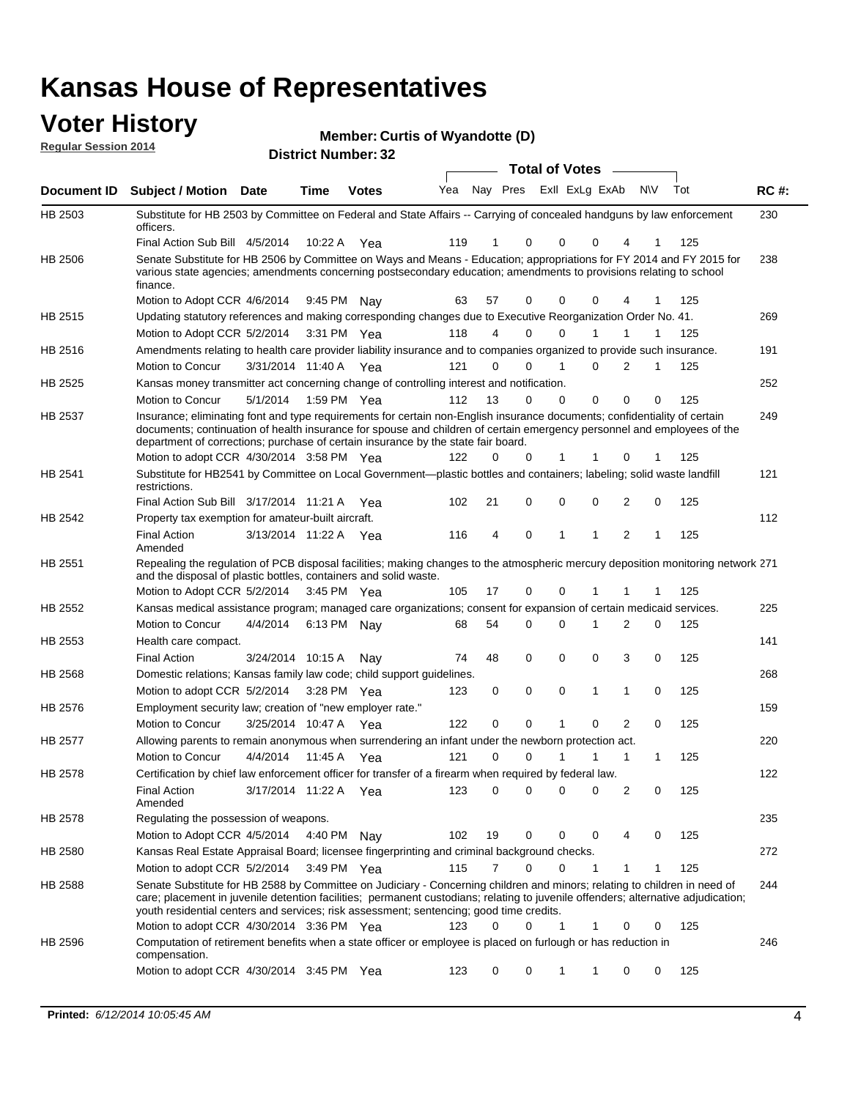### **Voter History**

| TULUI THULUI Y              | <b>Member: Curtis of Wyandotte (D)</b> |
|-----------------------------|----------------------------------------|
| <b>Regular Session 2014</b> | <b>District Number: 32</b>             |
|                             | <b>Total of Votes</b>                  |

|                |                                                                                                                                                                                                                                                                                                                                                           |                       |             |              |                                     |          |                         | <b>TOLAT OF VOLUS</b> |              |              |          |     |             |
|----------------|-----------------------------------------------------------------------------------------------------------------------------------------------------------------------------------------------------------------------------------------------------------------------------------------------------------------------------------------------------------|-----------------------|-------------|--------------|-------------------------------------|----------|-------------------------|-----------------------|--------------|--------------|----------|-----|-------------|
|                | Document ID Subject / Motion Date                                                                                                                                                                                                                                                                                                                         |                       | Time        | <b>Votes</b> | Yea                                 |          | Nay Pres ExII ExLg ExAb |                       |              |              | N\V      | Tot | <b>RC#:</b> |
| HB 2503        | Substitute for HB 2503 by Committee on Federal and State Affairs -- Carrying of concealed handguns by law enforcement<br>officers.                                                                                                                                                                                                                        |                       |             |              |                                     |          |                         |                       |              |              |          |     | 230         |
|                | Final Action Sub Bill 4/5/2014                                                                                                                                                                                                                                                                                                                            |                       | 10:22 A     | Yea          | 119                                 |          | 0                       | $\Omega$              | $\Omega$     | 4            |          | 125 |             |
| HB 2506        | Senate Substitute for HB 2506 by Committee on Ways and Means - Education; appropriations for FY 2014 and FY 2015 for<br>various state agencies; amendments concerning postsecondary education; amendments to provisions relating to school<br>finance.                                                                                                    |                       |             |              |                                     |          |                         |                       |              |              |          |     | 238         |
|                | Motion to Adopt CCR 4/6/2014                                                                                                                                                                                                                                                                                                                              |                       | 9:45 PM Nay |              | 63                                  | 57       | 0                       | 0                     | $\Omega$     | 4            | 1        | 125 |             |
| HB 2515        | Updating statutory references and making corresponding changes due to Executive Reorganization Order No. 41.                                                                                                                                                                                                                                              |                       |             |              |                                     |          |                         |                       |              |              |          |     | 269         |
|                | Motion to Adopt CCR 5/2/2014                                                                                                                                                                                                                                                                                                                              |                       |             | 3:31 PM Yea  | 118                                 | 4        | 0                       | 0                     | 1            | 1            | 1        | 125 |             |
| HB 2516        | Amendments relating to health care provider liability insurance and to companies organized to provide such insurance.                                                                                                                                                                                                                                     |                       |             |              |                                     |          |                         |                       |              |              |          |     | 191         |
|                | Motion to Concur                                                                                                                                                                                                                                                                                                                                          | 3/31/2014 11:40 A Yea |             |              | 121                                 | 0        | 0                       | 1                     | 0            | 2            | 1        | 125 |             |
| HB 2525        | Kansas money transmitter act concerning change of controlling interest and notification.                                                                                                                                                                                                                                                                  |                       |             |              |                                     |          |                         |                       |              |              |          |     | 252         |
|                | Motion to Concur                                                                                                                                                                                                                                                                                                                                          | 5/1/2014              |             | 1:59 PM Yea  | 112                                 | 13       | 0                       | $\mathbf 0$           | 0            | 0            | 0        | 125 |             |
| HB 2537        | Insurance; eliminating font and type requirements for certain non-English insurance documents; confidentiality of certain                                                                                                                                                                                                                                 |                       |             |              |                                     |          |                         |                       |              |              |          |     | 249         |
|                | documents; continuation of health insurance for spouse and children of certain emergency personnel and employees of the<br>department of corrections; purchase of certain insurance by the state fair board.                                                                                                                                              |                       |             |              |                                     |          |                         |                       |              |              |          |     |             |
|                | Motion to adopt CCR 4/30/2014 3:58 PM Yea                                                                                                                                                                                                                                                                                                                 |                       |             |              | 122                                 | 0        | 0                       | 1                     | 1            | 0            | 1        | 125 |             |
| HB 2541        | Substitute for HB2541 by Committee on Local Government—plastic bottles and containers; labeling; solid waste landfill<br>restrictions.                                                                                                                                                                                                                    |                       |             |              |                                     |          |                         |                       |              |              |          |     | 121         |
|                | Final Action Sub Bill 3/17/2014 11:21 A Yea                                                                                                                                                                                                                                                                                                               |                       |             |              | 102                                 | 21       | 0                       | $\mathbf 0$           | 0            | 2            | 0        | 125 |             |
| HB 2542        | Property tax exemption for amateur-built aircraft.                                                                                                                                                                                                                                                                                                        |                       |             |              |                                     |          |                         |                       |              |              |          |     | 112         |
|                | <b>Final Action</b><br>Amended                                                                                                                                                                                                                                                                                                                            | 3/13/2014 11:22 A Yea |             |              | 116                                 | 4        | 0                       | 1                     | -1           | 2            |          | 125 |             |
| HB 2551        | Repealing the regulation of PCB disposal facilities; making changes to the atmospheric mercury deposition monitoring network 271<br>and the disposal of plastic bottles, containers and solid waste.                                                                                                                                                      |                       |             |              |                                     |          |                         |                       |              |              |          |     |             |
|                | Motion to Adopt CCR 5/2/2014                                                                                                                                                                                                                                                                                                                              |                       | 3:45 PM Yea |              | 105                                 | 17       | 0                       | $\mathbf 0$           | 1            | 1            |          | 125 |             |
| HB 2552        | Kansas medical assistance program; managed care organizations; consent for expansion of certain medicaid services.                                                                                                                                                                                                                                        |                       |             |              |                                     |          |                         |                       |              |              |          |     | 225         |
|                | Motion to Concur                                                                                                                                                                                                                                                                                                                                          | 4/4/2014              |             | 6:13 PM Nav  | 68                                  | 54       | 0                       | $\mathbf 0$           | $\mathbf{1}$ | 2            | 0        | 125 |             |
| HB 2553        | Health care compact.                                                                                                                                                                                                                                                                                                                                      |                       |             |              |                                     |          |                         |                       |              |              |          |     | 141         |
|                | <b>Final Action</b>                                                                                                                                                                                                                                                                                                                                       | 3/24/2014 10:15 A     |             | Nav          | 74                                  | 48       | 0                       | 0                     | 0            | 3            | 0        | 125 |             |
| HB 2568        | Domestic relations; Kansas family law code; child support guidelines.                                                                                                                                                                                                                                                                                     |                       |             |              |                                     |          |                         |                       |              |              |          |     | 268         |
|                | Motion to adopt CCR 5/2/2014                                                                                                                                                                                                                                                                                                                              |                       |             | 3:28 PM Yea  | 123                                 | 0        | 0                       | $\mathbf 0$           | $\mathbf{1}$ | 1            | 0        | 125 |             |
| HB 2576        | Employment security law; creation of "new employer rate."                                                                                                                                                                                                                                                                                                 |                       |             |              |                                     |          |                         |                       |              |              |          |     | 159         |
|                | Motion to Concur                                                                                                                                                                                                                                                                                                                                          | 3/25/2014 10:47 A     |             | Yea          | 122                                 | 0        | 0                       | 1                     | 0            | 2            | 0        | 125 |             |
| <b>HB 2577</b> | Allowing parents to remain anonymous when surrendering an infant under the newborn protection act.                                                                                                                                                                                                                                                        |                       |             |              |                                     |          |                         |                       |              |              |          |     | 220         |
|                | Motion to Concur                                                                                                                                                                                                                                                                                                                                          | 4/4/2014              | 11:45 A     | Yea          | 121                                 | 0        | $\Omega$                | 1                     | 1            | $\mathbf{1}$ | 1        | 125 |             |
| HB 2578        | Certification by chief law enforcement officer for transfer of a firearm when required by federal law.                                                                                                                                                                                                                                                    |                       |             |              |                                     |          |                         |                       |              |              |          |     | 122         |
|                | Final Action<br>Amended                                                                                                                                                                                                                                                                                                                                   |                       |             |              | 3/17/2014 11:22 A Yea 123 0 0 0 0 2 |          |                         |                       |              |              | $\Omega$ | 125 |             |
| HB 2578        | Regulating the possession of weapons.                                                                                                                                                                                                                                                                                                                     |                       |             |              |                                     |          |                         |                       |              |              |          |     | 235         |
|                | Motion to Adopt CCR 4/5/2014                                                                                                                                                                                                                                                                                                                              |                       | 4:40 PM Nay |              | 102                                 | 19       | 0                       | 0                     | 0            | 4            | 0        | 125 |             |
| HB 2580        | Kansas Real Estate Appraisal Board; licensee fingerprinting and criminal background checks.                                                                                                                                                                                                                                                               |                       |             |              |                                     |          |                         |                       |              |              |          |     | 272         |
|                | Motion to adopt CCR 5/2/2014                                                                                                                                                                                                                                                                                                                              |                       |             | 3:49 PM Yea  | 115                                 | 7        | 0                       | 0                     | -1           | 1            | 1        | 125 |             |
| HB 2588        | Senate Substitute for HB 2588 by Committee on Judiciary - Concerning children and minors; relating to children in need of<br>care; placement in juvenile detention facilities; permanent custodians; relating to juvenile offenders; alternative adjudication;<br>youth residential centers and services; risk assessment; sentencing; good time credits. |                       |             |              |                                     |          |                         |                       |              |              |          |     | 244         |
|                | Motion to adopt CCR 4/30/2014 3:36 PM Yea                                                                                                                                                                                                                                                                                                                 |                       |             |              | 123                                 | $\Omega$ | 0                       | 1                     | $\mathbf{1}$ | 0            | 0        | 125 |             |
| HB 2596        | Computation of retirement benefits when a state officer or employee is placed on furlough or has reduction in<br>compensation.                                                                                                                                                                                                                            |                       |             |              |                                     |          |                         |                       |              |              |          |     | 246         |
|                | Motion to adopt CCR 4/30/2014 3:45 PM Yea                                                                                                                                                                                                                                                                                                                 |                       |             |              | 123                                 | 0        | 0                       | 1                     | -1           | 0            | 0        | 125 |             |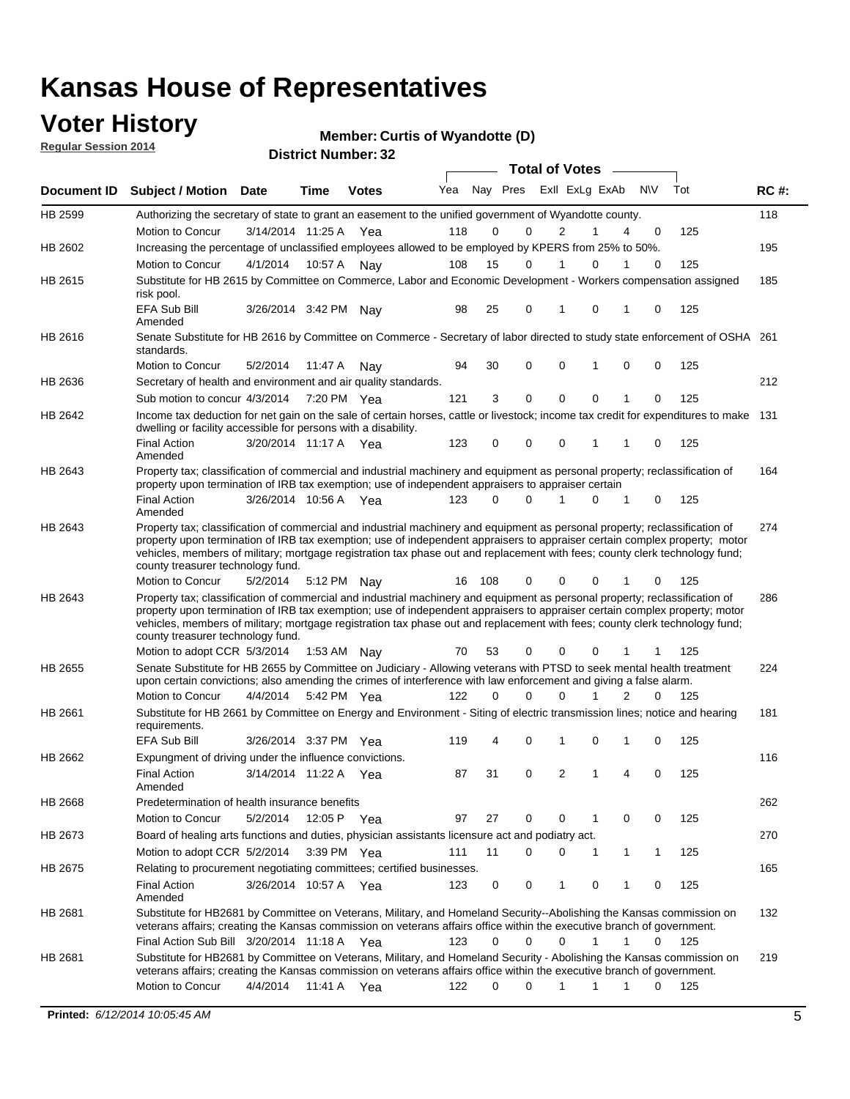## **Voter History**

**Regular Session 2014**

#### **Member: Curtis of Wyandotte (D)**

|                |                                                                                                                                                                                                                                                                                                                                                                                                                               |                       |             | DISTRICT MAILING 1.32 |     |          |                             | Total of Votes – |              |              |          |     |             |
|----------------|-------------------------------------------------------------------------------------------------------------------------------------------------------------------------------------------------------------------------------------------------------------------------------------------------------------------------------------------------------------------------------------------------------------------------------|-----------------------|-------------|-----------------------|-----|----------|-----------------------------|------------------|--------------|--------------|----------|-----|-------------|
|                | Document ID Subject / Motion Date                                                                                                                                                                                                                                                                                                                                                                                             |                       | <b>Time</b> | <b>Votes</b>          | Yea |          | Nay Pres ExII ExLg ExAb N\V |                  |              |              |          | Tot | <b>RC#:</b> |
| HB 2599        | Authorizing the secretary of state to grant an easement to the unified government of Wyandotte county.                                                                                                                                                                                                                                                                                                                        |                       |             |                       |     |          |                             |                  |              |              |          |     | 118         |
|                | Motion to Concur                                                                                                                                                                                                                                                                                                                                                                                                              | 3/14/2014 11:25 A     |             | Yea                   | 118 | 0        | 0                           | 2                | 1            | 4            | 0        | 125 |             |
| HB 2602        | Increasing the percentage of unclassified employees allowed to be employed by KPERS from 25% to 50%.                                                                                                                                                                                                                                                                                                                          |                       |             |                       |     |          |                             |                  |              |              |          |     | 195         |
|                | Motion to Concur                                                                                                                                                                                                                                                                                                                                                                                                              | 4/1/2014              |             | 10:57 A Nay           | 108 | 15       | 0                           | 1                | 0            |              | $\Omega$ | 125 |             |
| HB 2615        | Substitute for HB 2615 by Committee on Commerce, Labor and Economic Development - Workers compensation assigned<br>risk pool.                                                                                                                                                                                                                                                                                                 |                       |             |                       |     |          |                             |                  |              |              |          |     | 185         |
|                | <b>EFA Sub Bill</b><br>Amended                                                                                                                                                                                                                                                                                                                                                                                                | 3/26/2014 3:42 PM Nay |             |                       | 98  | 25       | 0                           | 1                | $\mathbf 0$  | 1            | 0        | 125 |             |
| HB 2616        | Senate Substitute for HB 2616 by Committee on Commerce - Secretary of labor directed to study state enforcement of OSHA 261<br>standards.                                                                                                                                                                                                                                                                                     |                       |             |                       |     |          |                             |                  |              |              |          |     |             |
|                | Motion to Concur                                                                                                                                                                                                                                                                                                                                                                                                              | 5/2/2014              | 11:47 A     | Nav                   | 94  | 30       | 0                           | $\mathbf 0$      | 1            | 0            | 0        | 125 |             |
| HB 2636        | Secretary of health and environment and air quality standards.                                                                                                                                                                                                                                                                                                                                                                |                       |             |                       |     |          |                             |                  |              |              |          |     | 212         |
|                | Sub motion to concur 4/3/2014                                                                                                                                                                                                                                                                                                                                                                                                 |                       | 7:20 PM Yea |                       | 121 | 3        | 0                           | $\mathbf 0$      | $\mathbf 0$  |              | 0        | 125 |             |
| HB 2642        | Income tax deduction for net gain on the sale of certain horses, cattle or livestock; income tax credit for expenditures to make 131<br>dwelling or facility accessible for persons with a disability.                                                                                                                                                                                                                        |                       |             |                       |     |          |                             |                  |              |              |          |     |             |
|                | <b>Final Action</b><br>Amended                                                                                                                                                                                                                                                                                                                                                                                                | 3/20/2014 11:17 A Yea |             |                       | 123 | 0        | 0                           | 0                | 1            | 1            | 0        | 125 |             |
| HB 2643        | Property tax; classification of commercial and industrial machinery and equipment as personal property; reclassification of<br>property upon termination of IRB tax exemption; use of independent appraisers to appraiser certain                                                                                                                                                                                             |                       |             |                       |     |          |                             |                  |              |              |          |     | 164         |
|                | <b>Final Action</b><br>Amended                                                                                                                                                                                                                                                                                                                                                                                                | 3/26/2014 10:56 A Yea |             |                       | 123 | 0        | $\Omega$                    | 1                | $\Omega$     | 1            | 0        | 125 |             |
| HB 2643        | Property tax; classification of commercial and industrial machinery and equipment as personal property; reclassification of<br>property upon termination of IRB tax exemption; use of independent appraisers to appraiser certain complex property; motor<br>vehicles, members of military; mortgage registration tax phase out and replacement with fees; county clerk technology fund;<br>county treasurer technology fund. |                       |             |                       |     |          |                             |                  |              |              |          |     | 274         |
|                | Motion to Concur                                                                                                                                                                                                                                                                                                                                                                                                              | 5/2/2014              | 5:12 PM Nay |                       | 16  | 108      | 0                           | 0                | 0            |              |          | 125 |             |
| HB 2643        | Property tax; classification of commercial and industrial machinery and equipment as personal property; reclassification of<br>property upon termination of IRB tax exemption; use of independent appraisers to appraiser certain complex property; motor<br>vehicles, members of military; mortgage registration tax phase out and replacement with fees; county clerk technology fund;<br>county treasurer technology fund. |                       |             |                       |     |          |                             |                  |              |              |          |     | 286         |
|                | Motion to adopt CCR 5/3/2014                                                                                                                                                                                                                                                                                                                                                                                                  |                       | 1:53 AM Nay |                       | 70  | 53       | 0                           | $\mathbf 0$      | 0            | 1            | 1        | 125 |             |
| <b>HB 2655</b> | Senate Substitute for HB 2655 by Committee on Judiciary - Allowing veterans with PTSD to seek mental health treatment<br>upon certain convictions; also amending the crimes of interference with law enforcement and giving a false alarm.<br>Motion to Concur                                                                                                                                                                |                       |             |                       |     | 0        | $\Omega$                    | $\Omega$         | 1            | 2            | $\Omega$ |     | 224         |
|                |                                                                                                                                                                                                                                                                                                                                                                                                                               | 4/4/2014 5:42 PM Yea  |             |                       | 122 |          |                             |                  |              |              |          | 125 |             |
| HB 2661        | Substitute for HB 2661 by Committee on Energy and Environment - Siting of electric transmission lines; notice and hearing<br>requirements.<br><b>EFA Sub Bill</b>                                                                                                                                                                                                                                                             | 3/26/2014 3:37 PM Yea |             |                       | 119 | 4        | 0                           | 1                | $\Omega$     | 1            | 0        | 125 | 181         |
| HB 2662        |                                                                                                                                                                                                                                                                                                                                                                                                                               |                       |             |                       |     |          |                             |                  |              |              |          |     | 116         |
|                | Expungment of driving under the influence convictions.<br><b>Final Action</b><br>Amended                                                                                                                                                                                                                                                                                                                                      | 3/14/2014 11:22 A Yea |             |                       | 87  | 31       | 0                           | 2                | 1            | 4            | 0        | 125 |             |
| HB 2668        | Predetermination of health insurance benefits                                                                                                                                                                                                                                                                                                                                                                                 |                       |             |                       |     |          |                             |                  |              |              |          |     | 262         |
|                | Motion to Concur                                                                                                                                                                                                                                                                                                                                                                                                              | 5/2/2014              | 12:05 P Yea |                       | 97  | 27       | 0                           | 0                | $\mathbf{1}$ | 0            | 0        | 125 |             |
| HB 2673        | Board of healing arts functions and duties, physician assistants licensure act and podiatry act.                                                                                                                                                                                                                                                                                                                              |                       |             |                       |     |          |                             |                  |              |              |          |     | 270         |
|                | Motion to adopt CCR 5/2/2014                                                                                                                                                                                                                                                                                                                                                                                                  |                       | 3:39 PM Yea |                       | 111 | 11       | 0                           | 0                | 1            | $\mathbf{1}$ | 1        | 125 |             |
|                |                                                                                                                                                                                                                                                                                                                                                                                                                               |                       |             |                       |     |          |                             |                  |              |              |          |     |             |
| HB 2675        | Relating to procurement negotiating committees; certified businesses.<br><b>Final Action</b><br>Amended                                                                                                                                                                                                                                                                                                                       | 3/26/2014 10:57 A Yea |             |                       | 123 | 0        | 0                           | 1                | 0            | 1            | 0        | 125 | 165         |
| HB 2681        | Substitute for HB2681 by Committee on Veterans, Military, and Homeland Security--Abolishing the Kansas commission on<br>veterans affairs; creating the Kansas commission on veterans affairs office within the executive branch of government.                                                                                                                                                                                |                       |             |                       |     |          |                             |                  |              |              |          |     | 132         |
|                | Final Action Sub Bill 3/20/2014 11:18 A Yea                                                                                                                                                                                                                                                                                                                                                                                   |                       |             |                       | 123 | 0        | 0                           | 0                | 1            | 1            | 0        | 125 |             |
| HB 2681        | Substitute for HB2681 by Committee on Veterans, Military, and Homeland Security - Abolishing the Kansas commission on<br>veterans affairs; creating the Kansas commission on veterans affairs office within the executive branch of government.                                                                                                                                                                               |                       |             |                       |     |          |                             |                  |              |              |          |     | 219         |
|                | Motion to Concur                                                                                                                                                                                                                                                                                                                                                                                                              | 4/4/2014              | 11:41 A     | Yea                   | 122 | $\Omega$ | $\Omega$                    | 1                | 1            | 1            | $\Omega$ | 125 |             |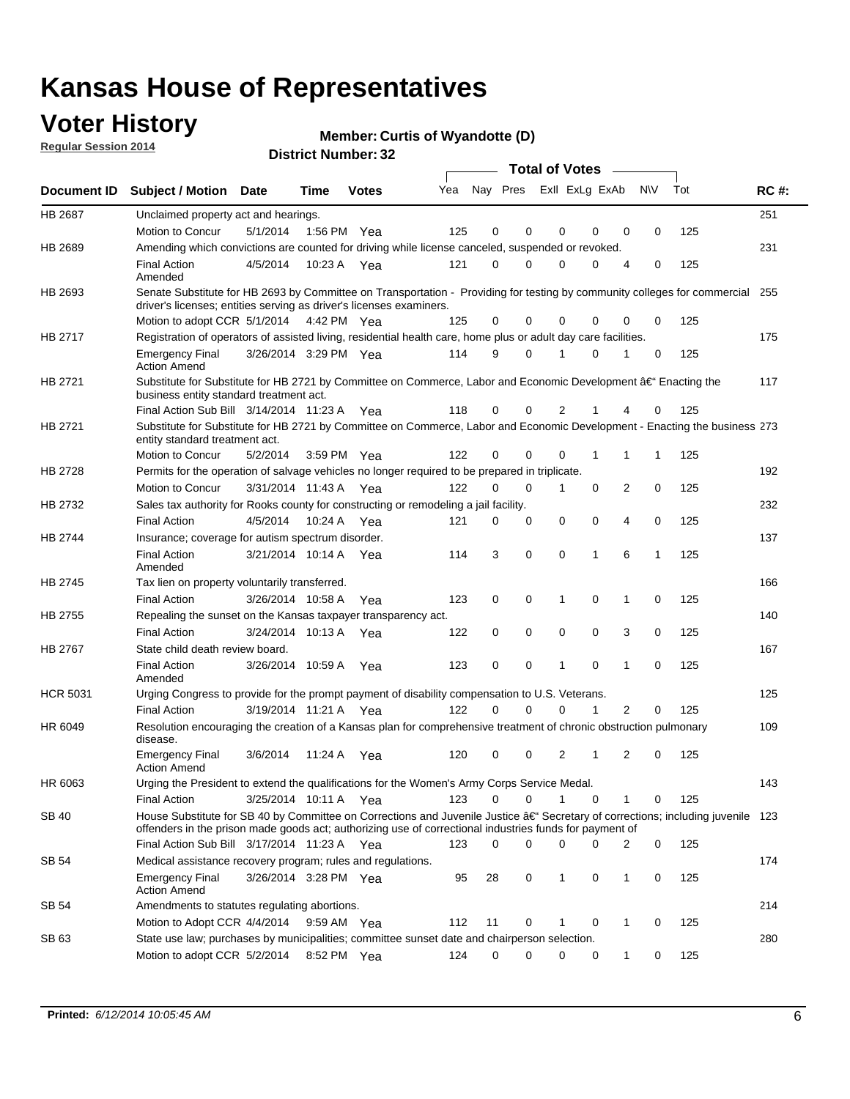## **Voter History**

**Regular Session 2014**

#### **Member: Curtis of Wyandotte (D)**

|                    |                                                                                                                                                                                                                                          |                       |                       |             |     |          |          | <b>Total of Votes</b> |                |                |             |     |             |
|--------------------|------------------------------------------------------------------------------------------------------------------------------------------------------------------------------------------------------------------------------------------|-----------------------|-----------------------|-------------|-----|----------|----------|-----------------------|----------------|----------------|-------------|-----|-------------|
| <b>Document ID</b> | <b>Subject / Motion Date</b>                                                                                                                                                                                                             |                       | Time                  | Votes       | Yea | Nav Pres |          |                       | Exll ExLg ExAb | <b>NV</b>      |             | Tot | <b>RC#:</b> |
| <b>HB 2687</b>     | Unclaimed property act and hearings.                                                                                                                                                                                                     |                       |                       |             |     |          |          |                       |                |                |             |     | 251         |
|                    | Motion to Concur                                                                                                                                                                                                                         | 5/1/2014              |                       | 1:56 PM Yea | 125 | 0        | 0        | 0                     | 0              | 0              | $\mathbf 0$ | 125 |             |
| HB 2689            | Amending which convictions are counted for driving while license canceled, suspended or revoked.                                                                                                                                         |                       |                       |             |     |          |          |                       |                |                |             |     | 231         |
|                    | <b>Final Action</b><br>Amended                                                                                                                                                                                                           | 4/5/2014              | 10:23 A               | Yea         | 121 | $\Omega$ | 0        | 0                     | 0              | 4              | 0           | 125 |             |
| HB 2693            | Senate Substitute for HB 2693 by Committee on Transportation - Providing for testing by community colleges for commercial 255<br>driver's licenses; entities serving as driver's licenses examiners.                                     |                       |                       |             |     |          |          |                       |                |                |             |     |             |
|                    | Motion to adopt CCR 5/1/2014 4:42 PM Yea                                                                                                                                                                                                 |                       |                       |             | 125 | 0        | 0        | 0                     | 0              | 0              | 0           | 125 |             |
| HB 2717            | Registration of operators of assisted living, residential health care, home plus or adult day care facilities.                                                                                                                           |                       |                       |             |     |          |          |                       |                |                |             |     | 175         |
|                    | <b>Emergency Final</b><br><b>Action Amend</b>                                                                                                                                                                                            | 3/26/2014 3:29 PM Yea |                       |             | 114 | 9        | $\Omega$ |                       | $\Omega$       | 1              | 0           | 125 |             |
| HB 2721            | Substitute for Substitute for HB 2721 by Committee on Commerce, Labor and Economic Development †Enacting the<br>business entity standard treatment act.                                                                                  |                       |                       |             |     |          |          |                       |                |                |             |     | 117         |
|                    | Final Action Sub Bill 3/14/2014 11:23 A Yea                                                                                                                                                                                              |                       |                       |             | 118 | 0        | 0        | 2                     |                |                | 0           | 125 |             |
| HB 2721            | Substitute for Substitute for HB 2721 by Committee on Commerce, Labor and Economic Development - Enacting the business 273<br>entity standard treatment act.                                                                             |                       |                       |             |     |          |          |                       |                |                |             |     |             |
|                    | Motion to Concur                                                                                                                                                                                                                         | 5/2/2014              |                       | 3:59 PM Yea | 122 | 0        | 0        | 0                     | 1              | 1              | 1           | 125 |             |
| HB 2728            | Permits for the operation of salvage vehicles no longer required to be prepared in triplicate.                                                                                                                                           |                       |                       |             |     |          |          |                       |                |                |             |     | 192         |
|                    | <b>Motion to Concur</b>                                                                                                                                                                                                                  | 3/31/2014 11:43 A Yea |                       |             | 122 | $\Omega$ | 0        | 1                     | 0              | 2              | 0           | 125 |             |
| HB 2732            | Sales tax authority for Rooks county for constructing or remodeling a jail facility.                                                                                                                                                     |                       |                       |             |     |          |          |                       |                |                |             |     | 232         |
|                    | <b>Final Action</b>                                                                                                                                                                                                                      | 4/5/2014              |                       | 10:24 A Yea | 121 | 0        | 0        | 0                     | 0              | 4              | $\mathbf 0$ | 125 |             |
| HB 2744            | Insurance; coverage for autism spectrum disorder.                                                                                                                                                                                        |                       |                       |             |     |          |          |                       |                |                |             |     | 137         |
|                    | <b>Final Action</b><br>Amended                                                                                                                                                                                                           |                       | 3/21/2014 10:14 A Yea |             | 114 | 3        | 0        | 0                     | 1              | 6              | 1           | 125 |             |
| <b>HB 2745</b>     | Tax lien on property voluntarily transferred.                                                                                                                                                                                            |                       |                       |             |     |          |          |                       |                |                |             |     | 166         |
|                    | <b>Final Action</b>                                                                                                                                                                                                                      |                       | 3/26/2014 10:58 A     | Yea         | 123 | 0        | 0        | 1                     | 0              | $\mathbf{1}$   | $\mathbf 0$ | 125 |             |
| <b>HB 2755</b>     | Repealing the sunset on the Kansas taxpayer transparency act.                                                                                                                                                                            |                       |                       |             |     |          |          |                       |                |                |             |     | 140         |
|                    | <b>Final Action</b>                                                                                                                                                                                                                      |                       | 3/24/2014 10:13 A     | Yea         | 122 | 0        | 0        | 0                     | 0              | 3              | $\mathbf 0$ | 125 |             |
| <b>HB 2767</b>     | State child death review board.                                                                                                                                                                                                          |                       |                       |             |     |          |          |                       |                |                |             |     | 167         |
|                    | <b>Final Action</b><br>Amended                                                                                                                                                                                                           |                       | 3/26/2014 10:59 A     | Yea         | 123 | 0        | 0        | 1                     | 0              | 1              | $\mathbf 0$ | 125 |             |
| <b>HCR 5031</b>    | Urging Congress to provide for the prompt payment of disability compensation to U.S. Veterans.                                                                                                                                           |                       |                       |             |     |          |          |                       |                |                |             |     | 125         |
|                    | <b>Final Action</b>                                                                                                                                                                                                                      |                       | 3/19/2014 11:21 A Yea |             | 122 | 0        | 0        | 0                     | 1              | $\overline{2}$ | 0           | 125 |             |
| HR 6049            | Resolution encouraging the creation of a Kansas plan for comprehensive treatment of chronic obstruction pulmonary<br>disease.                                                                                                            |                       |                       |             |     |          |          |                       |                |                |             |     | 109         |
|                    | <b>Emergency Final</b><br><b>Action Amend</b>                                                                                                                                                                                            | 3/6/2014              | 11:24 A               | Yea         | 120 | 0        | 0        | 2                     | 1              | 2              | 0           | 125 |             |
| HR 6063            | Urging the President to extend the qualifications for the Women's Army Corps Service Medal.                                                                                                                                              |                       |                       |             |     |          |          |                       |                |                |             |     | 143         |
|                    | <b>Final Action</b>                                                                                                                                                                                                                      | 3/25/2014 10:11 A Yea |                       |             | 123 | 0        | 0        | 1                     | 0              | 1              | 0           | 125 |             |
| <b>SB 40</b>       | House Substitute for SB 40 by Committee on Corrections and Juvenile Justice †Secretary of corrections; including juvenile 123<br>offenders in the prison made goods act; authorizing use of correctional industries funds for payment of |                       |                       |             |     |          |          |                       |                |                |             |     |             |
|                    | Final Action Sub Bill 3/17/2014 11:23 A Yea                                                                                                                                                                                              |                       |                       |             | 123 | 0        | 0        | 0                     | 0              | 2              | 0           | 125 |             |
| SB 54              | Medical assistance recovery program; rules and regulations.                                                                                                                                                                              |                       |                       |             |     |          |          |                       |                |                |             |     | 174         |
|                    | <b>Emergency Final</b><br><b>Action Amend</b>                                                                                                                                                                                            |                       | 3/26/2014 3:28 PM Yea |             | 95  | 28       | 0        | 1                     | 0              | 1              | 0           | 125 |             |
| SB 54              | Amendments to statutes regulating abortions.                                                                                                                                                                                             |                       |                       |             |     |          |          |                       |                |                |             |     | 214         |
|                    | Motion to Adopt CCR 4/4/2014                                                                                                                                                                                                             |                       |                       | 9:59 AM Yea | 112 | 11       | 0        |                       | 0              | 1              | 0           | 125 |             |
| SB 63              | State use law; purchases by municipalities; committee sunset date and chairperson selection.                                                                                                                                             |                       |                       |             |     |          |          |                       |                |                |             |     | 280         |
|                    | Motion to adopt CCR 5/2/2014                                                                                                                                                                                                             |                       |                       | 8:52 PM Yea | 124 | 0        | 0        | 0                     | 0              | 1              | 0           | 125 |             |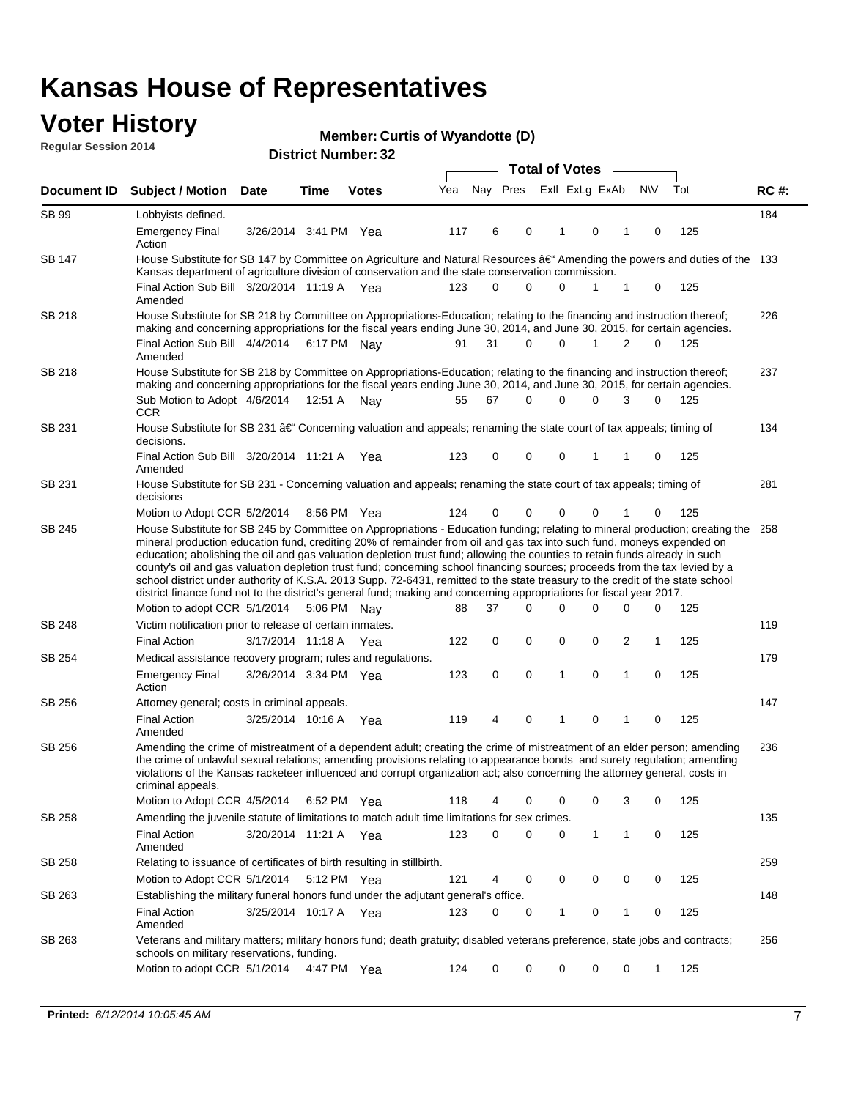### **Voter History Regular Session 2014**

|                    |                                                                                                                                                                                                                                                                                                                                                                                                                                                                                                                                                                                                                                                                                                                                                                                                               |                       |             |              |     |                         |          | <b>Total of Votes</b> |              |                |             |     |             |
|--------------------|---------------------------------------------------------------------------------------------------------------------------------------------------------------------------------------------------------------------------------------------------------------------------------------------------------------------------------------------------------------------------------------------------------------------------------------------------------------------------------------------------------------------------------------------------------------------------------------------------------------------------------------------------------------------------------------------------------------------------------------------------------------------------------------------------------------|-----------------------|-------------|--------------|-----|-------------------------|----------|-----------------------|--------------|----------------|-------------|-----|-------------|
| <b>Document ID</b> | <b>Subject / Motion</b>                                                                                                                                                                                                                                                                                                                                                                                                                                                                                                                                                                                                                                                                                                                                                                                       | <b>Date</b>           | Time        | <b>Votes</b> | Yea | Nay Pres ExII ExLg ExAb |          |                       |              |                | <b>NV</b>   | Tot | <b>RC#:</b> |
| SB 99              | Lobbyists defined.                                                                                                                                                                                                                                                                                                                                                                                                                                                                                                                                                                                                                                                                                                                                                                                            |                       |             |              |     |                         |          |                       |              |                |             |     | 184         |
|                    | Emergency Final<br>Action                                                                                                                                                                                                                                                                                                                                                                                                                                                                                                                                                                                                                                                                                                                                                                                     | 3/26/2014 3:41 PM Yea |             |              | 117 | 6                       | 0        | 1                     | $\mathbf 0$  | 1              | 0           | 125 |             |
| <b>SB 147</b>      | House Substitute for SB 147 by Committee on Agriculture and Natural Resources †Amending the powers and duties of the 133<br>Kansas department of agriculture division of conservation and the state conservation commission.                                                                                                                                                                                                                                                                                                                                                                                                                                                                                                                                                                                  |                       |             |              |     |                         |          |                       |              |                |             |     |             |
|                    | Final Action Sub Bill 3/20/2014 11:19 A Yea<br>Amended                                                                                                                                                                                                                                                                                                                                                                                                                                                                                                                                                                                                                                                                                                                                                        |                       |             |              | 123 | 0                       | $\Omega$ | 0                     | 1            | 1              | 0           | 125 |             |
| SB 218             | House Substitute for SB 218 by Committee on Appropriations-Education; relating to the financing and instruction thereof;<br>making and concerning appropriations for the fiscal years ending June 30, 2014, and June 30, 2015, for certain agencies.                                                                                                                                                                                                                                                                                                                                                                                                                                                                                                                                                          |                       |             |              |     |                         |          |                       |              |                |             |     | 226         |
|                    | Final Action Sub Bill 4/4/2014<br>Amended                                                                                                                                                                                                                                                                                                                                                                                                                                                                                                                                                                                                                                                                                                                                                                     |                       |             | 6:17 PM Nay  | 91  | 31                      | $\Omega$ | $\Omega$              | $\mathbf{1}$ | 2              | $\Omega$    | 125 |             |
| SB 218             | House Substitute for SB 218 by Committee on Appropriations-Education; relating to the financing and instruction thereof;<br>making and concerning appropriations for the fiscal years ending June 30, 2014, and June 30, 2015, for certain agencies.                                                                                                                                                                                                                                                                                                                                                                                                                                                                                                                                                          |                       |             |              |     |                         |          |                       |              |                |             |     | 237         |
|                    | Sub Motion to Adopt 4/6/2014<br>CCR.                                                                                                                                                                                                                                                                                                                                                                                                                                                                                                                                                                                                                                                                                                                                                                          |                       | 12:51 A Nay |              | 55  | 67                      | $\Omega$ | 0                     | $\Omega$     | 3              | 0           | 125 |             |
| SB 231             | House Substitute for SB 231 $\hat{a} \in C$ Concerning valuation and appeals; renaming the state court of tax appeals; timing of<br>decisions.                                                                                                                                                                                                                                                                                                                                                                                                                                                                                                                                                                                                                                                                |                       |             |              |     |                         |          |                       |              |                |             |     | 134         |
|                    | Final Action Sub Bill 3/20/2014 11:21 A Yea<br>Amended                                                                                                                                                                                                                                                                                                                                                                                                                                                                                                                                                                                                                                                                                                                                                        |                       |             |              | 123 | 0                       | 0        | 0                     | 1            | 1              | 0           | 125 |             |
| SB 231             | House Substitute for SB 231 - Concerning valuation and appeals; renaming the state court of tax appeals; timing of<br>decisions                                                                                                                                                                                                                                                                                                                                                                                                                                                                                                                                                                                                                                                                               |                       |             |              |     |                         |          |                       |              |                |             |     | 281         |
|                    | Motion to Adopt CCR 5/2/2014                                                                                                                                                                                                                                                                                                                                                                                                                                                                                                                                                                                                                                                                                                                                                                                  |                       |             | 8:56 PM Yea  | 124 | 0                       | 0        | 0                     | 0            |                | 0           | 125 |             |
|                    | House Substitute for SB 245 by Committee on Appropriations - Education funding; relating to mineral production; creating the<br>mineral production education fund, crediting 20% of remainder from oil and gas tax into such fund, moneys expended on<br>education; abolishing the oil and gas valuation depletion trust fund; allowing the counties to retain funds already in such<br>county's oil and gas valuation depletion trust fund; concerning school financing sources; proceeds from the tax levied by a<br>school district under authority of K.S.A. 2013 Supp. 72-6431, remitted to the state treasury to the credit of the state school<br>district finance fund not to the district's general fund; making and concerning appropriations for fiscal year 2017.<br>Motion to adopt CCR 5/1/2014 |                       |             | 5:06 PM Nay  | 88  | 37                      | $\Omega$ | 0                     | $\Omega$     | 0              | 0           | 125 |             |
| <b>SB 248</b>      | Victim notification prior to release of certain inmates.                                                                                                                                                                                                                                                                                                                                                                                                                                                                                                                                                                                                                                                                                                                                                      |                       |             |              |     |                         |          |                       |              |                |             |     | 119         |
|                    | <b>Final Action</b>                                                                                                                                                                                                                                                                                                                                                                                                                                                                                                                                                                                                                                                                                                                                                                                           | 3/17/2014 11:18 A Yea |             |              | 122 | 0                       | 0        | 0                     | 0            | $\overline{c}$ | 1           | 125 |             |
| SB 254             | Medical assistance recovery program; rules and regulations.                                                                                                                                                                                                                                                                                                                                                                                                                                                                                                                                                                                                                                                                                                                                                   |                       |             |              |     |                         |          |                       |              |                |             |     | 179         |
|                    | <b>Emergency Final</b><br>Action                                                                                                                                                                                                                                                                                                                                                                                                                                                                                                                                                                                                                                                                                                                                                                              | 3/26/2014 3:34 PM Yea |             |              | 123 | 0                       | 0        | $\mathbf{1}$          | $\mathbf 0$  | 1              | 0           | 125 |             |
| SB 256             | Attorney general; costs in criminal appeals.                                                                                                                                                                                                                                                                                                                                                                                                                                                                                                                                                                                                                                                                                                                                                                  |                       |             |              |     |                         |          |                       |              |                |             |     | 147         |
|                    | Final Action<br>Amended                                                                                                                                                                                                                                                                                                                                                                                                                                                                                                                                                                                                                                                                                                                                                                                       | 3/25/2014 10:16 A     |             | Yea          | 119 | 4                       | 0        | 1                     | 0            | 1              | $\mathbf 0$ | 125 |             |
| SB 256             | Amending the crime of mistreatment of a dependent adult; creating the crime of mistreatment of an elder person; amending<br>the crime of unlawful sexual relations; amending provisions relating to appearance bonds and surety regulation; amending<br>violations of the Kansas racketeer influenced and corrupt organization act; also concerning the attorney general, costs in<br>criminal appeais.                                                                                                                                                                                                                                                                                                                                                                                                       |                       |             |              |     |                         |          |                       |              |                |             |     | 236         |
|                    | Motion to Adopt CCR 4/5/2014 6:52 PM Yea                                                                                                                                                                                                                                                                                                                                                                                                                                                                                                                                                                                                                                                                                                                                                                      |                       |             |              | 118 | 4                       | 0        | 0                     | 0            | 3              | 0           | 125 |             |
| SB 258             | Amending the juvenile statute of limitations to match adult time limitations for sex crimes.                                                                                                                                                                                                                                                                                                                                                                                                                                                                                                                                                                                                                                                                                                                  |                       |             |              |     |                         |          |                       |              |                |             |     | 135         |
|                    | Final Action<br>Amended                                                                                                                                                                                                                                                                                                                                                                                                                                                                                                                                                                                                                                                                                                                                                                                       | 3/20/2014 11:21 A Yea |             |              | 123 | 0                       | 0        | 0                     | $\mathbf{1}$ | 1              | 0           | 125 |             |
| SB 258             | Relating to issuance of certificates of birth resulting in stillbirth.                                                                                                                                                                                                                                                                                                                                                                                                                                                                                                                                                                                                                                                                                                                                        |                       |             |              |     |                         |          |                       |              |                |             |     | 259         |
|                    | Motion to Adopt CCR 5/1/2014                                                                                                                                                                                                                                                                                                                                                                                                                                                                                                                                                                                                                                                                                                                                                                                  |                       |             | 5:12 PM Yea  | 121 | 4                       | 0        | 0                     | 0            | 0              | 0           | 125 |             |
| SB 263             | Establishing the military funeral honors fund under the adjutant general's office.<br>Final Action                                                                                                                                                                                                                                                                                                                                                                                                                                                                                                                                                                                                                                                                                                            | 3/25/2014 10:17 A Yea |             |              | 123 | 0                       | 0        | 1                     | 0            | $\mathbf{1}$   | 0           | 125 | 148         |
| SB 263             | Amended                                                                                                                                                                                                                                                                                                                                                                                                                                                                                                                                                                                                                                                                                                                                                                                                       |                       |             |              |     |                         |          |                       |              |                |             |     |             |
|                    | Veterans and military matters; military honors fund; death gratuity; disabled veterans preference, state jobs and contracts;<br>schools on military reservations, funding.                                                                                                                                                                                                                                                                                                                                                                                                                                                                                                                                                                                                                                    |                       |             |              |     |                         |          |                       |              |                |             |     | 256         |
|                    | Motion to adopt CCR 5/1/2014                                                                                                                                                                                                                                                                                                                                                                                                                                                                                                                                                                                                                                                                                                                                                                                  |                       |             | 4:47 PM Yea  | 124 | 0                       | 0        | 0                     | 0            | 0              | 1           | 125 |             |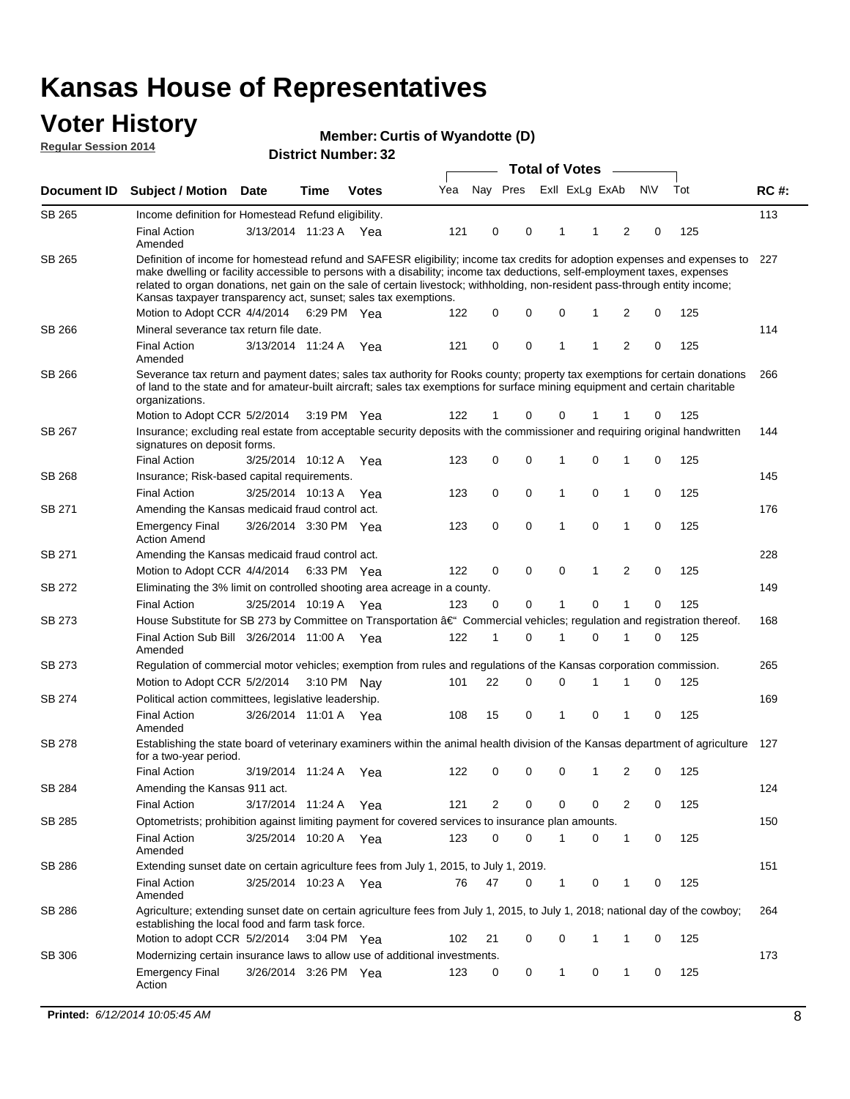### **Voter History Regular Session 2014**

|                    | <b>Total of Votes</b>                                                                                                                                                                                                                                                                                                                                                                                                                                          |                                                                                                          |             |                       |     |    |          |          |                |              |              |           |     |             |
|--------------------|----------------------------------------------------------------------------------------------------------------------------------------------------------------------------------------------------------------------------------------------------------------------------------------------------------------------------------------------------------------------------------------------------------------------------------------------------------------|----------------------------------------------------------------------------------------------------------|-------------|-----------------------|-----|----|----------|----------|----------------|--------------|--------------|-----------|-----|-------------|
| <b>Document ID</b> | <b>Subject / Motion Date</b>                                                                                                                                                                                                                                                                                                                                                                                                                                   |                                                                                                          | Time        | Votes                 | Yea |    | Nay Pres |          | Exll ExLg ExAb |              |              | <b>NV</b> | Tot | <b>RC#:</b> |
| <b>SB 265</b>      | Income definition for Homestead Refund eligibility.                                                                                                                                                                                                                                                                                                                                                                                                            |                                                                                                          |             |                       |     |    |          |          |                |              |              |           |     | 113         |
|                    | <b>Final Action</b><br>Amended                                                                                                                                                                                                                                                                                                                                                                                                                                 | 3/13/2014 11:23 A Yea                                                                                    |             |                       | 121 | 0  |          | 0        | 1              | -1           | 2            | 0         | 125 |             |
| SB 265             | Definition of income for homestead refund and SAFESR eligibility; income tax credits for adoption expenses and expenses to 227<br>make dwelling or facility accessible to persons with a disability; income tax deductions, self-employment taxes, expenses<br>related to organ donations, net gain on the sale of certain livestock; withholding, non-resident pass-through entity income;<br>Kansas taxpayer transparency act, sunset; sales tax exemptions. |                                                                                                          |             |                       |     |    |          |          |                |              |              |           |     |             |
|                    | Motion to Adopt CCR 4/4/2014                                                                                                                                                                                                                                                                                                                                                                                                                                   |                                                                                                          | 6:29 PM Yea |                       | 122 | 0  |          | 0        | 0              | -1           | 2            | 0         | 125 |             |
| SB 266             | Mineral severance tax return file date.                                                                                                                                                                                                                                                                                                                                                                                                                        |                                                                                                          |             |                       |     |    |          |          |                |              |              |           |     | 114         |
|                    | <b>Final Action</b><br>Amended                                                                                                                                                                                                                                                                                                                                                                                                                                 | 3/13/2014 11:24 A Yea                                                                                    |             |                       | 121 | 0  |          | 0        | 1              | 1            | 2            | 0         | 125 |             |
| SB 266             | Severance tax return and payment dates; sales tax authority for Rooks county; property tax exemptions for certain donations<br>of land to the state and for amateur-built aircraft; sales tax exemptions for surface mining equipment and certain charitable<br>organizations.                                                                                                                                                                                 |                                                                                                          |             |                       |     |    |          |          |                |              |              |           |     | 266         |
|                    | Motion to Adopt CCR 5/2/2014                                                                                                                                                                                                                                                                                                                                                                                                                                   |                                                                                                          |             | $3:19 \text{ PM}$ Yea | 122 | 1  |          | 0        | 0              |              | 1            | 0         | 125 |             |
| SB 267             | Insurance; excluding real estate from acceptable security deposits with the commissioner and requiring original handwritten<br>signatures on deposit forms.                                                                                                                                                                                                                                                                                                    |                                                                                                          |             |                       |     |    |          |          |                |              |              |           |     | 144         |
|                    | <b>Final Action</b>                                                                                                                                                                                                                                                                                                                                                                                                                                            | 3/25/2014 10:12 A                                                                                        |             | Yea                   | 123 | 0  |          | 0        | 1              | 0            | 1            | 0         | 125 |             |
| <b>SB 268</b>      | Insurance; Risk-based capital requirements.                                                                                                                                                                                                                                                                                                                                                                                                                    |                                                                                                          |             |                       |     |    |          |          |                |              |              |           |     | 145         |
|                    | <b>Final Action</b>                                                                                                                                                                                                                                                                                                                                                                                                                                            | 3/25/2014 10:13 A                                                                                        |             | Yea                   | 123 | 0  |          | 0        | 1              | 0            | 1            | 0         | 125 |             |
| SB 271             | Amending the Kansas medicaid fraud control act.                                                                                                                                                                                                                                                                                                                                                                                                                |                                                                                                          |             |                       |     |    |          |          |                |              |              |           |     | 176         |
|                    | <b>Emergency Final</b><br><b>Action Amend</b>                                                                                                                                                                                                                                                                                                                                                                                                                  | 3/26/2014 3:30 PM Yea                                                                                    |             |                       | 123 | 0  |          | 0        | 1              | 0            | 1            | 0         | 125 |             |
| SB 271             | Amending the Kansas medicaid fraud control act.                                                                                                                                                                                                                                                                                                                                                                                                                |                                                                                                          |             |                       |     |    |          |          |                |              |              |           |     | 228         |
|                    |                                                                                                                                                                                                                                                                                                                                                                                                                                                                | 0<br>$\mathbf 0$<br>0<br>2<br>0<br>125<br>Motion to Adopt CCR 4/4/2014 6:33 PM Yea<br>122<br>$\mathbf 1$ |             |                       |     |    |          |          |                |              |              |           |     |             |
| SB 272             | Eliminating the 3% limit on controlled shooting area acreage in a county.                                                                                                                                                                                                                                                                                                                                                                                      |                                                                                                          |             |                       |     |    |          |          |                |              |              |           |     | 149         |
|                    | <b>Final Action</b>                                                                                                                                                                                                                                                                                                                                                                                                                                            | 3/25/2014 10:19 A Yea                                                                                    |             |                       | 123 | 0  |          | 0        | 1              | $\Omega$     | 1            | 0         | 125 |             |
| <b>SB 273</b>      | House Substitute for SB 273 by Committee on Transportation â€ <sup>4</sup> Commercial vehicles; regulation and registration thereof.                                                                                                                                                                                                                                                                                                                           |                                                                                                          |             |                       |     |    |          |          |                |              |              |           |     | 168         |
|                    | Final Action Sub Bill 3/26/2014 11:00 A Yea<br>Amended                                                                                                                                                                                                                                                                                                                                                                                                         |                                                                                                          |             |                       | 122 | 1  |          | $\Omega$ | 1              | $\Omega$     | 1            | 0         | 125 |             |
| SB 273             | Regulation of commercial motor vehicles; exemption from rules and regulations of the Kansas corporation commission.                                                                                                                                                                                                                                                                                                                                            |                                                                                                          |             |                       |     |    |          |          |                |              |              |           |     | 265         |
|                    | Motion to Adopt CCR 5/2/2014                                                                                                                                                                                                                                                                                                                                                                                                                                   |                                                                                                          |             | 3:10 PM Nav           | 101 | 22 |          | 0        | 0              | 1            | 1            | 0         | 125 |             |
| SB 274             | Political action committees, legislative leadership.                                                                                                                                                                                                                                                                                                                                                                                                           |                                                                                                          |             |                       |     |    |          |          |                |              |              |           |     | 169         |
|                    | <b>Final Action</b><br>Amended                                                                                                                                                                                                                                                                                                                                                                                                                                 | 3/26/2014 11:01 A Yea                                                                                    |             |                       | 108 | 15 |          | 0        | 1              | 0            | 1            | 0         | 125 |             |
| <b>SB 278</b>      | Establishing the state board of veterinary examiners within the animal health division of the Kansas department of agriculture 127<br>for a two-year period.                                                                                                                                                                                                                                                                                                   |                                                                                                          |             |                       |     |    |          |          |                |              |              |           |     |             |
|                    | Final Action                                                                                                                                                                                                                                                                                                                                                                                                                                                   | 3/19/2014 11:24 A                                                                                        |             | Yea                   | 122 | 0  |          | 0        | 0              | $\mathbf 1$  | 2            | 0         | 125 |             |
| SB 284             | Amending the Kansas 911 act.                                                                                                                                                                                                                                                                                                                                                                                                                                   |                                                                                                          |             |                       |     |    |          |          |                |              |              |           |     | 124         |
|                    | <b>Final Action</b>                                                                                                                                                                                                                                                                                                                                                                                                                                            | 3/17/2014 11:24 A Yea                                                                                    |             |                       | 121 | 2  |          | 0        | 0              | 0            | 2            | 0         | 125 |             |
| SB 285             | Optometrists; prohibition against limiting payment for covered services to insurance plan amounts.                                                                                                                                                                                                                                                                                                                                                             |                                                                                                          |             |                       |     |    |          |          |                |              |              |           |     | 150         |
|                    | <b>Final Action</b><br>Amended                                                                                                                                                                                                                                                                                                                                                                                                                                 | 3/25/2014 10:20 A Yea                                                                                    |             |                       | 123 | 0  |          | 0        | 1              | 0            | 1            | 0         | 125 |             |
| SB 286             | Extending sunset date on certain agriculture fees from July 1, 2015, to July 1, 2019.                                                                                                                                                                                                                                                                                                                                                                          |                                                                                                          |             |                       |     |    |          |          |                |              |              |           |     | 151         |
|                    | <b>Final Action</b><br>Amended                                                                                                                                                                                                                                                                                                                                                                                                                                 | 3/25/2014 10:23 A Yea                                                                                    |             |                       | 76  | 47 |          | 0        | 1              | 0            | 1            | 0         | 125 |             |
| SB 286             | Agriculture; extending sunset date on certain agriculture fees from July 1, 2015, to July 1, 2018; national day of the cowboy;<br>establishing the local food and farm task force.                                                                                                                                                                                                                                                                             |                                                                                                          |             |                       |     |    |          |          |                |              |              |           |     | 264         |
|                    | Motion to adopt CCR 5/2/2014                                                                                                                                                                                                                                                                                                                                                                                                                                   |                                                                                                          |             | 3:04 PM Yea           | 102 | 21 |          | 0        | 0              | $\mathbf{1}$ | 1            | 0         | 125 |             |
| SB 306             | Modernizing certain insurance laws to allow use of additional investments.                                                                                                                                                                                                                                                                                                                                                                                     |                                                                                                          |             |                       |     |    |          |          |                |              |              |           |     | 173         |
|                    | <b>Emergency Final</b><br>Action                                                                                                                                                                                                                                                                                                                                                                                                                               | 3/26/2014 3:26 PM Yea                                                                                    |             |                       | 123 | 0  |          | 0        | 1              | 0            | $\mathbf{1}$ | 0         | 125 |             |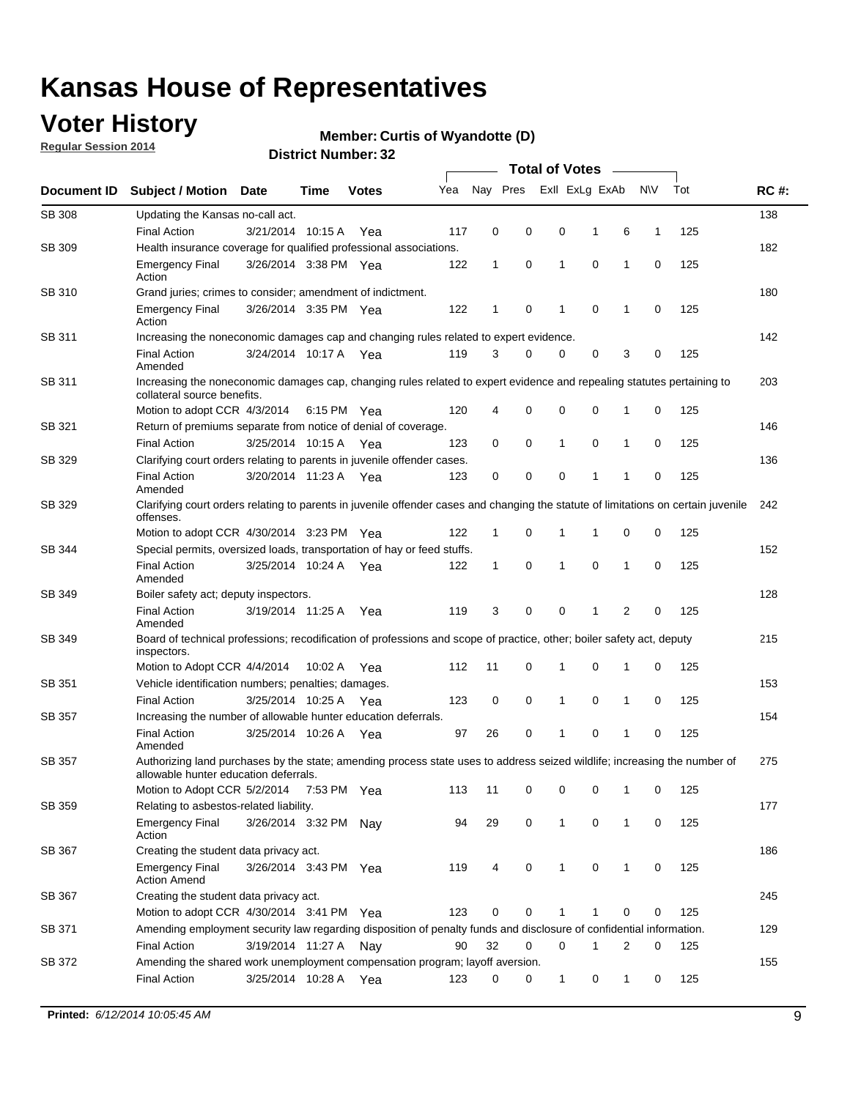## **Voter History**

**Regular Session 2014**

#### **Member: Curtis of Wyandotte (D)**

|               |                                                                                                                                                                    |                       |         |              |     | <b>Total of Votes</b> |          |                |             |              |              |     |             |  |
|---------------|--------------------------------------------------------------------------------------------------------------------------------------------------------------------|-----------------------|---------|--------------|-----|-----------------------|----------|----------------|-------------|--------------|--------------|-----|-------------|--|
| Document ID   | <b>Subject / Motion</b>                                                                                                                                            | Date                  | Time    | <b>Votes</b> | Yea | Nay Pres              |          | Exll ExLg ExAb |             |              | <b>NV</b>    | Tot | <b>RC#:</b> |  |
| <b>SB 308</b> | Updating the Kansas no-call act.                                                                                                                                   |                       |         |              |     |                       |          |                |             |              |              |     | 138         |  |
|               | <b>Final Action</b>                                                                                                                                                | 3/21/2014 10:15 A     |         | Yea          | 117 | 0                     | 0        | 0              | 1           | 6            | $\mathbf{1}$ | 125 |             |  |
| SB 309        | Health insurance coverage for qualified professional associations.                                                                                                 |                       |         |              |     |                       |          |                |             |              |              |     | 182         |  |
|               | <b>Emergency Final</b><br>Action                                                                                                                                   | 3/26/2014 3:38 PM Yea |         |              | 122 | $\mathbf{1}$          | 0        | 1              | 0           | 1            | 0            | 125 |             |  |
| SB 310        | Grand juries; crimes to consider; amendment of indictment.                                                                                                         |                       |         |              |     |                       |          |                |             |              |              |     | 180         |  |
|               | <b>Emergency Final</b><br>Action                                                                                                                                   | 3/26/2014 3:35 PM Yea |         |              | 122 | 1                     | 0        | 1              | $\mathbf 0$ | 1            | 0            | 125 |             |  |
| SB 311        | Increasing the noneconomic damages cap and changing rules related to expert evidence.                                                                              |                       |         |              |     |                       |          |                |             |              |              |     | 142         |  |
|               | <b>Final Action</b><br>Amended                                                                                                                                     | 3/24/2014 10:17 A Yea |         |              | 119 | 3                     | 0        | 0              | 0           | 3            | 0            | 125 |             |  |
| SB 311        | 203<br>Increasing the noneconomic damages cap, changing rules related to expert evidence and repealing statutes pertaining to<br>collateral source benefits.       |                       |         |              |     |                       |          |                |             |              |              |     |             |  |
|               | Motion to adopt CCR 4/3/2014 6:15 PM Yea                                                                                                                           |                       |         |              | 120 | 4                     | 0        | 0              | $\mathbf 0$ | 1            | 0            | 125 |             |  |
| SB 321        | Return of premiums separate from notice of denial of coverage.                                                                                                     |                       |         |              |     |                       |          |                |             |              |              |     | 146         |  |
|               | <b>Final Action</b>                                                                                                                                                | 3/25/2014 10:15 A     |         | Yea          | 123 | 0                     | 0        | 1              | 0           | 1            | 0            | 125 |             |  |
| SB 329        | Clarifying court orders relating to parents in juvenile offender cases.                                                                                            |                       |         |              |     |                       |          |                |             |              |              |     | 136         |  |
|               | <b>Final Action</b><br>Amended                                                                                                                                     | 3/20/2014 11:23 A     |         | Yea          | 123 | 0                     | 0        | 0              | 1           | 1            | 0            | 125 |             |  |
| SB 329        | Clarifying court orders relating to parents in juvenile offender cases and changing the statute of limitations on certain juvenile<br>offenses.                    |                       |         |              |     |                       |          |                |             |              |              |     | 242         |  |
|               | Motion to adopt CCR 4/30/2014 3:23 PM Yea                                                                                                                          |                       |         |              | 122 | 1                     | 0        | 1              | 1           | 0            | 0            | 125 |             |  |
| SB 344        | Special permits, oversized loads, transportation of hay or feed stuffs.                                                                                            |                       |         |              |     |                       |          |                |             |              |              |     | 152         |  |
|               | <b>Final Action</b><br>Amended                                                                                                                                     | 3/25/2014 10:24 A     |         | Yea          | 122 | 1                     | 0        | 1              | $\mathbf 0$ | 1            | 0            | 125 |             |  |
| SB 349        | Boiler safety act; deputy inspectors.                                                                                                                              |                       |         |              |     |                       |          |                |             |              |              |     | 128         |  |
|               | <b>Final Action</b><br>Amended                                                                                                                                     | 3/19/2014 11:25 A     |         | Yea          | 119 | 3                     | 0        | 0              | 1           | 2            | 0            | 125 |             |  |
| SB 349        | Board of technical professions; recodification of professions and scope of practice, other; boiler safety act, deputy<br>inspectors.                               |                       |         |              |     |                       |          |                |             |              |              |     | 215         |  |
|               | Motion to Adopt CCR 4/4/2014                                                                                                                                       |                       | 10:02 A | Yea          | 112 | 11                    | 0        | 1              | $\mathbf 0$ | 1            | 0            | 125 |             |  |
| SB 351        | Vehicle identification numbers; penalties; damages.                                                                                                                |                       |         |              |     |                       |          |                |             |              |              |     | 153         |  |
|               | <b>Final Action</b>                                                                                                                                                | 3/25/2014 10:25 A     |         | Yea          | 123 | 0                     | 0        | 1              | 0           | 1            | 0            | 125 |             |  |
| <b>SB 357</b> | Increasing the number of allowable hunter education deferrals.                                                                                                     |                       |         |              |     |                       |          |                |             |              |              |     | 154         |  |
|               | <b>Final Action</b><br>Amended                                                                                                                                     | 3/25/2014 10:26 A     |         | Yea          | 97  | 26                    | 0        | 1              | 0           | 1            | 0            | 125 |             |  |
| SB 357        | Authorizing land purchases by the state; amending process state uses to address seized wildlife; increasing the number of<br>allowable hunter education deferrals. |                       |         |              |     |                       |          |                |             |              |              |     | 275         |  |
|               | Motion to Adopt CCR 5/2/2014 7:53 PM Yea                                                                                                                           |                       |         |              | 113 | 11                    | 0        | 0              | 0           | 1            | 0            | 125 |             |  |
| SB 359        | Relating to asbestos-related liability.                                                                                                                            |                       |         |              |     |                       |          |                |             |              |              |     | 177         |  |
|               | <b>Emergency Final</b><br>Action                                                                                                                                   | 3/26/2014 3:32 PM     |         | Nav          | 94  | 29                    | 0        | 1              | 0           | $\mathbf{1}$ | 0            | 125 |             |  |
| SB 367        | Creating the student data privacy act.                                                                                                                             |                       |         |              |     |                       |          |                |             |              |              |     | 186         |  |
|               | <b>Emergency Final</b><br><b>Action Amend</b>                                                                                                                      | 3/26/2014 3:43 PM Yea |         |              | 119 | 4                     | 0        | 1              | 0           | 1            | 0            | 125 |             |  |
| SB 367        | Creating the student data privacy act.                                                                                                                             |                       |         |              |     |                       |          |                |             |              |              |     | 245         |  |
|               | Motion to adopt CCR 4/30/2014 3:41 PM Yea                                                                                                                          |                       |         |              | 123 | 0                     | 0        | 1              | 1           | 0            | 0            | 125 |             |  |
| SB 371        | Amending employment security law regarding disposition of penalty funds and disclosure of confidential information.                                                |                       |         |              |     |                       |          |                |             |              |              |     | 129         |  |
|               | <b>Final Action</b>                                                                                                                                                | 3/19/2014 11:27 A     |         | Nay          | 90  | 32                    | $\Omega$ | 0              | 1           | 2            | 0            | 125 |             |  |
| SB 372        | Amending the shared work unemployment compensation program; layoff aversion.                                                                                       |                       |         |              |     |                       |          |                |             |              |              |     | 155         |  |
|               | <b>Final Action</b>                                                                                                                                                | 3/25/2014 10:28 A Yea |         |              | 123 | 0                     | 0        | 1              | 0           | 1            | 0            | 125 |             |  |